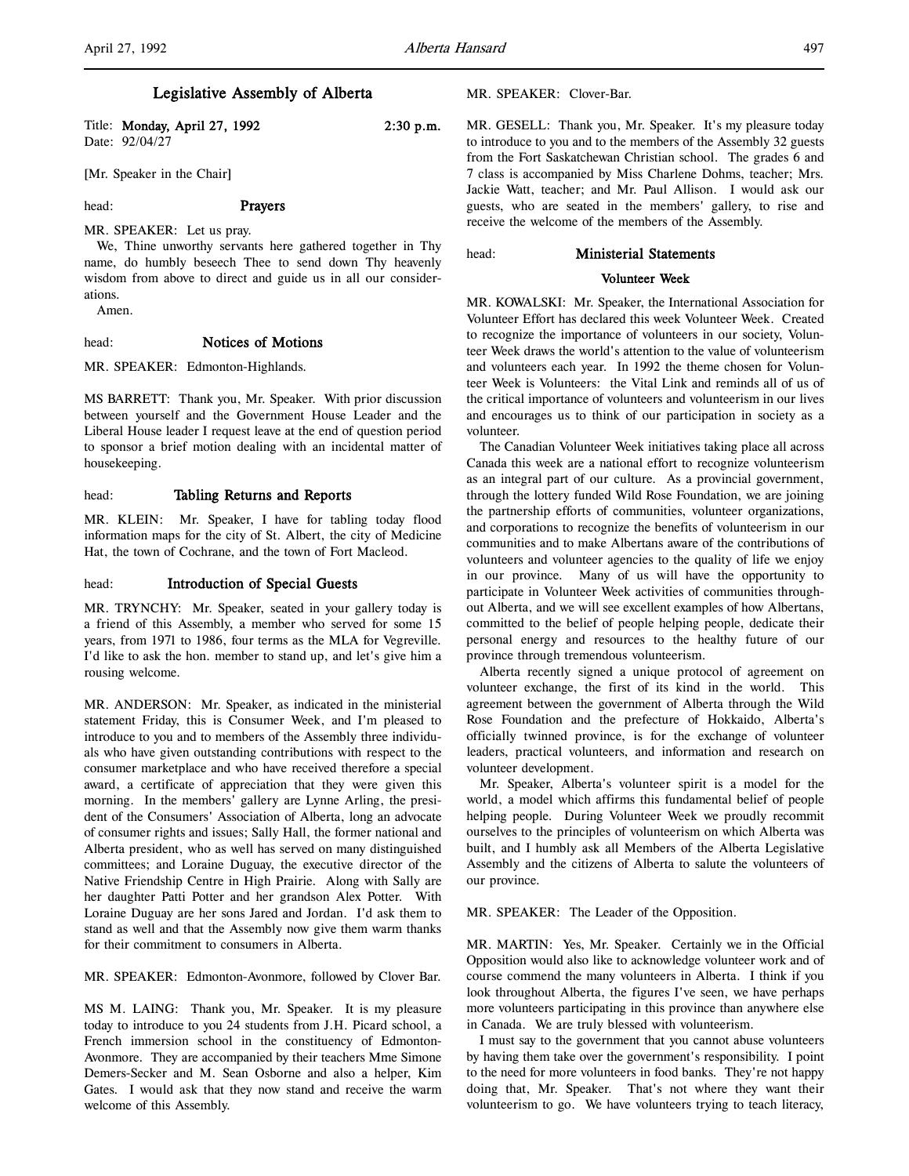# Legislative Assembly of Alberta

Title: **Monday, April 27, 1992** 2:30 p.m. Date: 92/04/27

[Mr. Speaker in the Chair]

# head: **Prayers**

MR. SPEAKER: Let us pray. We, Thine unworthy servants here gathered together in Thy name, do humbly beseech Thee to send down Thy heavenly wisdom from above to direct and guide us in all our considerations.

Amen.

# head: Notices of Motions

MR. SPEAKER: Edmonton-Highlands.

MS BARRETT: Thank you, Mr. Speaker. With prior discussion between yourself and the Government House Leader and the Liberal House leader I request leave at the end of question period to sponsor a brief motion dealing with an incidental matter of housekeeping.

# head: Tabling Returns and Reports

MR. KLEIN: Mr. Speaker, I have for tabling today flood information maps for the city of St. Albert, the city of Medicine Hat, the town of Cochrane, and the town of Fort Macleod.

#### head: Introduction of Special Guests

MR. TRYNCHY: Mr. Speaker, seated in your gallery today is a friend of this Assembly, a member who served for some 15 years, from 1971 to 1986, four terms as the MLA for Vegreville. I'd like to ask the hon. member to stand up, and let's give him a rousing welcome.

MR. ANDERSON: Mr. Speaker, as indicated in the ministerial statement Friday, this is Consumer Week, and I'm pleased to introduce to you and to members of the Assembly three individuals who have given outstanding contributions with respect to the consumer marketplace and who have received therefore a special award, a certificate of appreciation that they were given this morning. In the members' gallery are Lynne Arling, the president of the Consumers' Association of Alberta, long an advocate of consumer rights and issues; Sally Hall, the former national and Alberta president, who as well has served on many distinguished committees; and Loraine Duguay, the executive director of the Native Friendship Centre in High Prairie. Along with Sally are her daughter Patti Potter and her grandson Alex Potter. With Loraine Duguay are her sons Jared and Jordan. I'd ask them to stand as well and that the Assembly now give them warm thanks for their commitment to consumers in Alberta.

MR. SPEAKER: Edmonton-Avonmore, followed by Clover Bar.

MS M. LAING: Thank you, Mr. Speaker. It is my pleasure today to introduce to you 24 students from J.H. Picard school, a French immersion school in the constituency of Edmonton-Avonmore. They are accompanied by their teachers Mme Simone Demers-Secker and M. Sean Osborne and also a helper, Kim Gates. I would ask that they now stand and receive the warm welcome of this Assembly.

### MR. SPEAKER: Clover-Bar.

MR. GESELL: Thank you, Mr. Speaker. It's my pleasure today to introduce to you and to the members of the Assembly 32 guests from the Fort Saskatchewan Christian school. The grades 6 and 7 class is accompanied by Miss Charlene Dohms, teacher; Mrs. Jackie Watt, teacher; and Mr. Paul Allison. I would ask our guests, who are seated in the members' gallery, to rise and receive the welcome of the members of the Assembly.

#### head: Ministerial Statements

# Volunteer Week

MR. KOWALSKI: Mr. Speaker, the International Association for Volunteer Effort has declared this week Volunteer Week. Created to recognize the importance of volunteers in our society, Volunteer Week draws the world's attention to the value of volunteerism and volunteers each year. In 1992 the theme chosen for Volunteer Week is Volunteers: the Vital Link and reminds all of us of the critical importance of volunteers and volunteerism in our lives and encourages us to think of our participation in society as a volunteer.

The Canadian Volunteer Week initiatives taking place all across Canada this week are a national effort to recognize volunteerism as an integral part of our culture. As a provincial government, through the lottery funded Wild Rose Foundation, we are joining the partnership efforts of communities, volunteer organizations, and corporations to recognize the benefits of volunteerism in our communities and to make Albertans aware of the contributions of volunteers and volunteer agencies to the quality of life we enjoy in our province. Many of us will have the opportunity to participate in Volunteer Week activities of communities throughout Alberta, and we will see excellent examples of how Albertans, committed to the belief of people helping people, dedicate their personal energy and resources to the healthy future of our province through tremendous volunteerism.

Alberta recently signed a unique protocol of agreement on volunteer exchange, the first of its kind in the world. This agreement between the government of Alberta through the Wild Rose Foundation and the prefecture of Hokkaido, Alberta's officially twinned province, is for the exchange of volunteer leaders, practical volunteers, and information and research on volunteer development.

Mr. Speaker, Alberta's volunteer spirit is a model for the world, a model which affirms this fundamental belief of people helping people. During Volunteer Week we proudly recommit ourselves to the principles of volunteerism on which Alberta was built, and I humbly ask all Members of the Alberta Legislative Assembly and the citizens of Alberta to salute the volunteers of our province.

### MR. SPEAKER: The Leader of the Opposition.

MR. MARTIN: Yes, Mr. Speaker. Certainly we in the Official Opposition would also like to acknowledge volunteer work and of course commend the many volunteers in Alberta. I think if you look throughout Alberta, the figures I've seen, we have perhaps more volunteers participating in this province than anywhere else in Canada. We are truly blessed with volunteerism.

I must say to the government that you cannot abuse volunteers by having them take over the government's responsibility. I point to the need for more volunteers in food banks. They're not happy doing that, Mr. Speaker. That's not where they want their volunteerism to go. We have volunteers trying to teach literacy,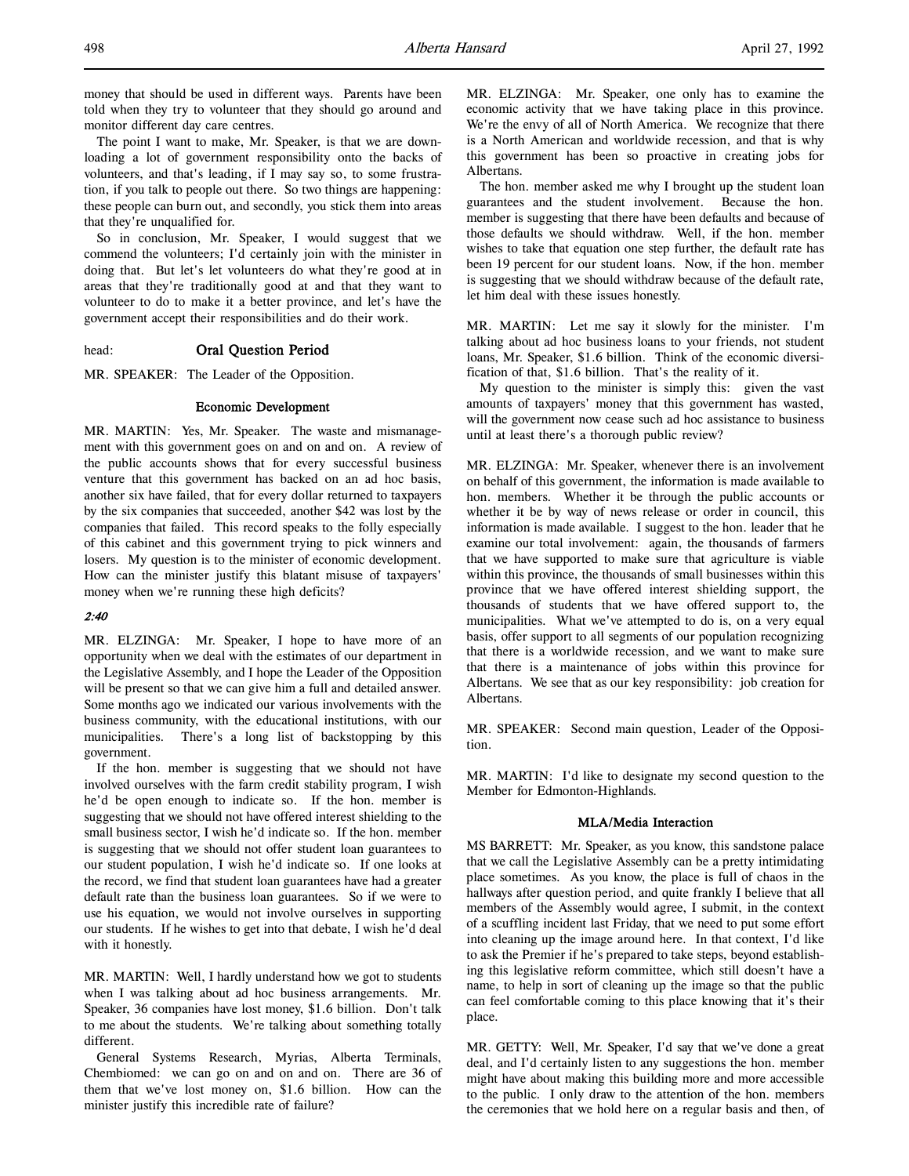money that should be used in different ways. Parents have been told when they try to volunteer that they should go around and monitor different day care centres.

The point I want to make, Mr. Speaker, is that we are downloading a lot of government responsibility onto the backs of volunteers, and that's leading, if I may say so, to some frustration, if you talk to people out there. So two things are happening: these people can burn out, and secondly, you stick them into areas that they're unqualified for.

So in conclusion, Mr. Speaker, I would suggest that we commend the volunteers; I'd certainly join with the minister in doing that. But let's let volunteers do what they're good at in areas that they're traditionally good at and that they want to volunteer to do to make it a better province, and let's have the government accept their responsibilities and do their work.

# head: Oral Question Period

MR. SPEAKER: The Leader of the Opposition.

### Economic Development

MR. MARTIN: Yes, Mr. Speaker. The waste and mismanagement with this government goes on and on and on. A review of the public accounts shows that for every successful business venture that this government has backed on an ad hoc basis, another six have failed, that for every dollar returned to taxpayers by the six companies that succeeded, another \$42 was lost by the companies that failed. This record speaks to the folly especially of this cabinet and this government trying to pick winners and losers. My question is to the minister of economic development. How can the minister justify this blatant misuse of taxpayers' money when we're running these high deficits?

# 2:40

MR. ELZINGA: Mr. Speaker, I hope to have more of an opportunity when we deal with the estimates of our department in the Legislative Assembly, and I hope the Leader of the Opposition will be present so that we can give him a full and detailed answer. Some months ago we indicated our various involvements with the business community, with the educational institutions, with our municipalities. There's a long list of backstopping by this government.

If the hon. member is suggesting that we should not have involved ourselves with the farm credit stability program, I wish he'd be open enough to indicate so. If the hon. member is suggesting that we should not have offered interest shielding to the small business sector, I wish he'd indicate so. If the hon. member is suggesting that we should not offer student loan guarantees to our student population, I wish he'd indicate so. If one looks at the record, we find that student loan guarantees have had a greater default rate than the business loan guarantees. So if we were to use his equation, we would not involve ourselves in supporting our students. If he wishes to get into that debate, I wish he'd deal with it honestly.

MR. MARTIN: Well, I hardly understand how we got to students when I was talking about ad hoc business arrangements. Mr. Speaker, 36 companies have lost money, \$1.6 billion. Don't talk to me about the students. We're talking about something totally different.

General Systems Research, Myrias, Alberta Terminals, Chembiomed: we can go on and on and on. There are 36 of them that we've lost money on, \$1.6 billion. How can the minister justify this incredible rate of failure?

MR. ELZINGA: Mr. Speaker, one only has to examine the economic activity that we have taking place in this province. We're the envy of all of North America. We recognize that there is a North American and worldwide recession, and that is why this government has been so proactive in creating jobs for Albertans.

The hon. member asked me why I brought up the student loan guarantees and the student involvement. Because the hon. member is suggesting that there have been defaults and because of those defaults we should withdraw. Well, if the hon. member wishes to take that equation one step further, the default rate has been 19 percent for our student loans. Now, if the hon. member is suggesting that we should withdraw because of the default rate, let him deal with these issues honestly.

MR. MARTIN: Let me say it slowly for the minister. I'm talking about ad hoc business loans to your friends, not student loans, Mr. Speaker, \$1.6 billion. Think of the economic diversification of that, \$1.6 billion. That's the reality of it.

My question to the minister is simply this: given the vast amounts of taxpayers' money that this government has wasted, will the government now cease such ad hoc assistance to business until at least there's a thorough public review?

MR. ELZINGA: Mr. Speaker, whenever there is an involvement on behalf of this government, the information is made available to hon. members. Whether it be through the public accounts or whether it be by way of news release or order in council, this information is made available. I suggest to the hon. leader that he examine our total involvement: again, the thousands of farmers that we have supported to make sure that agriculture is viable within this province, the thousands of small businesses within this province that we have offered interest shielding support, the thousands of students that we have offered support to, the municipalities. What we've attempted to do is, on a very equal basis, offer support to all segments of our population recognizing that there is a worldwide recession, and we want to make sure that there is a maintenance of jobs within this province for Albertans. We see that as our key responsibility: job creation for Albertans.

MR. SPEAKER: Second main question, Leader of the Opposition.

MR. MARTIN: I'd like to designate my second question to the Member for Edmonton-Highlands.

### MLA/Media Interaction

MS BARRETT: Mr. Speaker, as you know, this sandstone palace that we call the Legislative Assembly can be a pretty intimidating place sometimes. As you know, the place is full of chaos in the hallways after question period, and quite frankly I believe that all members of the Assembly would agree, I submit, in the context of a scuffling incident last Friday, that we need to put some effort into cleaning up the image around here. In that context, I'd like to ask the Premier if he's prepared to take steps, beyond establishing this legislative reform committee, which still doesn't have a name, to help in sort of cleaning up the image so that the public can feel comfortable coming to this place knowing that it's their place.

MR. GETTY: Well, Mr. Speaker, I'd say that we've done a great deal, and I'd certainly listen to any suggestions the hon. member might have about making this building more and more accessible to the public. I only draw to the attention of the hon. members the ceremonies that we hold here on a regular basis and then, of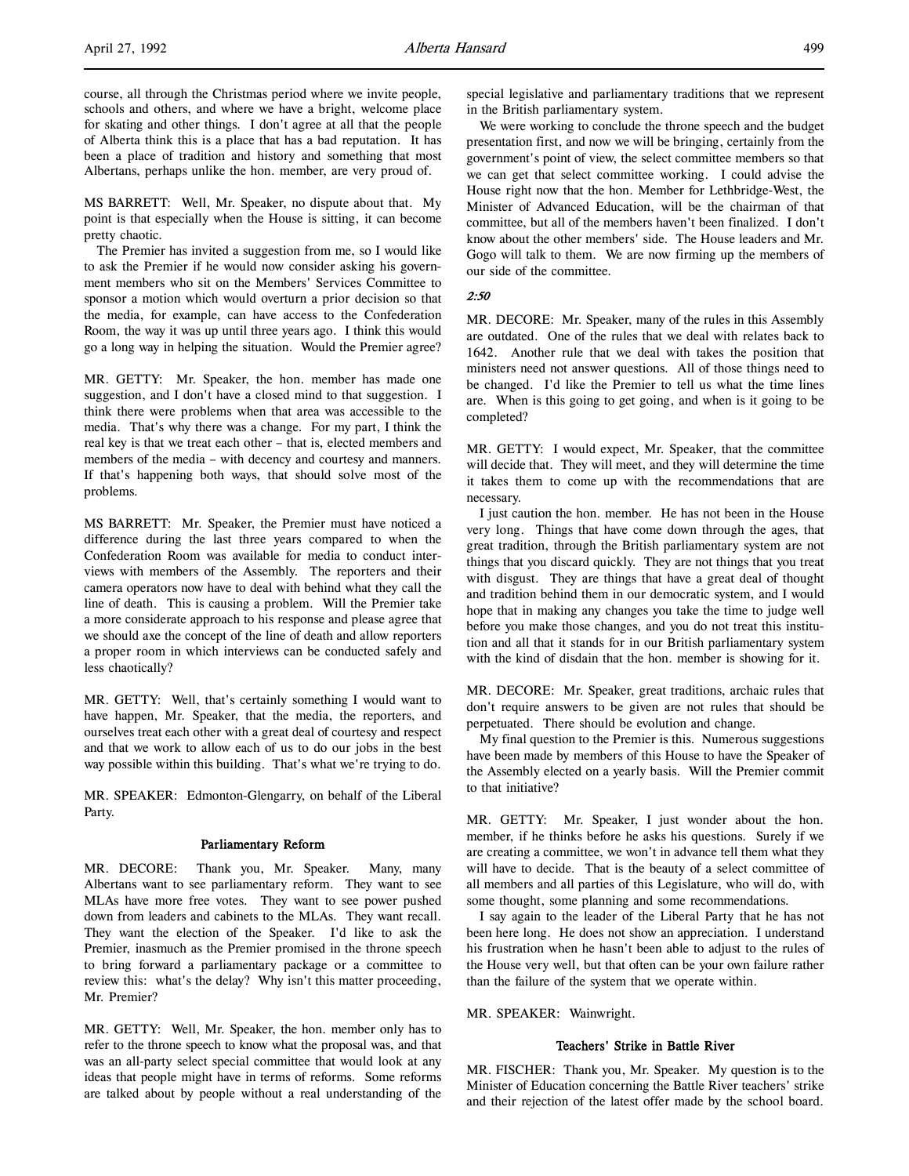MS BARRETT: Well, Mr. Speaker, no dispute about that. My point is that especially when the House is sitting, it can become pretty chaotic.

The Premier has invited a suggestion from me, so I would like to ask the Premier if he would now consider asking his government members who sit on the Members' Services Committee to sponsor a motion which would overturn a prior decision so that the media, for example, can have access to the Confederation Room, the way it was up until three years ago. I think this would go a long way in helping the situation. Would the Premier agree?

MR. GETTY: Mr. Speaker, the hon. member has made one suggestion, and I don't have a closed mind to that suggestion. I think there were problems when that area was accessible to the media. That's why there was a change. For my part, I think the real key is that we treat each other – that is, elected members and members of the media – with decency and courtesy and manners. If that's happening both ways, that should solve most of the problems.

MS BARRETT: Mr. Speaker, the Premier must have noticed a difference during the last three years compared to when the Confederation Room was available for media to conduct interviews with members of the Assembly. The reporters and their camera operators now have to deal with behind what they call the line of death. This is causing a problem. Will the Premier take a more considerate approach to his response and please agree that we should axe the concept of the line of death and allow reporters a proper room in which interviews can be conducted safely and less chaotically?

MR. GETTY: Well, that's certainly something I would want to have happen, Mr. Speaker, that the media, the reporters, and ourselves treat each other with a great deal of courtesy and respect and that we work to allow each of us to do our jobs in the best way possible within this building. That's what we're trying to do.

MR. SPEAKER: Edmonton-Glengarry, on behalf of the Liberal Party.

### Parliamentary Reform

MR. DECORE: Thank you, Mr. Speaker. Many, many Albertans want to see parliamentary reform. They want to see MLAs have more free votes. They want to see power pushed down from leaders and cabinets to the MLAs. They want recall. They want the election of the Speaker. I'd like to ask the Premier, inasmuch as the Premier promised in the throne speech to bring forward a parliamentary package or a committee to review this: what's the delay? Why isn't this matter proceeding, Mr. Premier?

MR. GETTY: Well, Mr. Speaker, the hon. member only has to refer to the throne speech to know what the proposal was, and that was an all-party select special committee that would look at any ideas that people might have in terms of reforms. Some reforms are talked about by people without a real understanding of the

special legislative and parliamentary traditions that we represent in the British parliamentary system.

We were working to conclude the throne speech and the budget presentation first, and now we will be bringing, certainly from the government's point of view, the select committee members so that we can get that select committee working. I could advise the House right now that the hon. Member for Lethbridge-West, the Minister of Advanced Education, will be the chairman of that committee, but all of the members haven't been finalized. I don't know about the other members' side. The House leaders and Mr. Gogo will talk to them. We are now firming up the members of our side of the committee.

# $2.50$

MR. DECORE: Mr. Speaker, many of the rules in this Assembly are outdated. One of the rules that we deal with relates back to 1642. Another rule that we deal with takes the position that ministers need not answer questions. All of those things need to be changed. I'd like the Premier to tell us what the time lines are. When is this going to get going, and when is it going to be completed?

MR. GETTY: I would expect, Mr. Speaker, that the committee will decide that. They will meet, and they will determine the time it takes them to come up with the recommendations that are necessary.

I just caution the hon. member. He has not been in the House very long. Things that have come down through the ages, that great tradition, through the British parliamentary system are not things that you discard quickly. They are not things that you treat with disgust. They are things that have a great deal of thought and tradition behind them in our democratic system, and I would hope that in making any changes you take the time to judge well before you make those changes, and you do not treat this institution and all that it stands for in our British parliamentary system with the kind of disdain that the hon. member is showing for it.

MR. DECORE: Mr. Speaker, great traditions, archaic rules that don't require answers to be given are not rules that should be perpetuated. There should be evolution and change.

My final question to the Premier is this. Numerous suggestions have been made by members of this House to have the Speaker of the Assembly elected on a yearly basis. Will the Premier commit to that initiative?

MR. GETTY: Mr. Speaker, I just wonder about the hon. member, if he thinks before he asks his questions. Surely if we are creating a committee, we won't in advance tell them what they will have to decide. That is the beauty of a select committee of all members and all parties of this Legislature, who will do, with some thought, some planning and some recommendations.

I say again to the leader of the Liberal Party that he has not been here long. He does not show an appreciation. I understand his frustration when he hasn't been able to adjust to the rules of the House very well, but that often can be your own failure rather than the failure of the system that we operate within.

MR. SPEAKER: Wainwright.

# Teachers' Strike in Battle River

MR. FISCHER: Thank you, Mr. Speaker. My question is to the Minister of Education concerning the Battle River teachers' strike and their rejection of the latest offer made by the school board.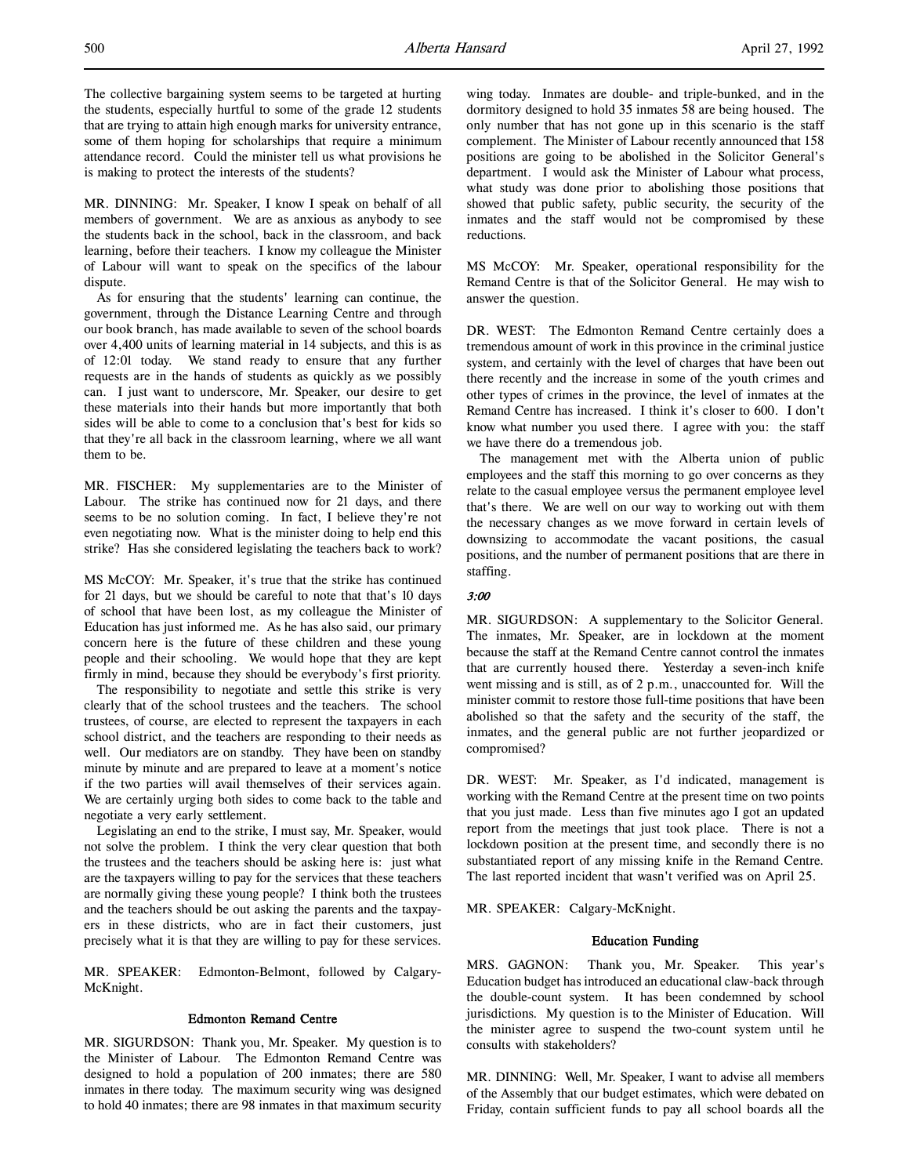MR. DINNING: Mr. Speaker, I know I speak on behalf of all members of government. We are as anxious as anybody to see the students back in the school, back in the classroom, and back learning, before their teachers. I know my colleague the Minister of Labour will want to speak on the specifics of the labour dispute.

As for ensuring that the students' learning can continue, the government, through the Distance Learning Centre and through our book branch, has made available to seven of the school boards over 4,400 units of learning material in 14 subjects, and this is as of 12:01 today. We stand ready to ensure that any further requests are in the hands of students as quickly as we possibly can. I just want to underscore, Mr. Speaker, our desire to get these materials into their hands but more importantly that both sides will be able to come to a conclusion that's best for kids so that they're all back in the classroom learning, where we all want them to be.

MR. FISCHER: My supplementaries are to the Minister of Labour. The strike has continued now for 21 days, and there seems to be no solution coming. In fact, I believe they're not even negotiating now. What is the minister doing to help end this strike? Has she considered legislating the teachers back to work?

MS McCOY: Mr. Speaker, it's true that the strike has continued for 21 days, but we should be careful to note that that's 10 days of school that have been lost, as my colleague the Minister of Education has just informed me. As he has also said, our primary concern here is the future of these children and these young people and their schooling. We would hope that they are kept firmly in mind, because they should be everybody's first priority.

The responsibility to negotiate and settle this strike is very clearly that of the school trustees and the teachers. The school trustees, of course, are elected to represent the taxpayers in each school district, and the teachers are responding to their needs as well. Our mediators are on standby. They have been on standby minute by minute and are prepared to leave at a moment's notice if the two parties will avail themselves of their services again. We are certainly urging both sides to come back to the table and negotiate a very early settlement.

Legislating an end to the strike, I must say, Mr. Speaker, would not solve the problem. I think the very clear question that both the trustees and the teachers should be asking here is: just what are the taxpayers willing to pay for the services that these teachers are normally giving these young people? I think both the trustees and the teachers should be out asking the parents and the taxpayers in these districts, who are in fact their customers, just precisely what it is that they are willing to pay for these services.

MR. SPEAKER: Edmonton-Belmont, followed by Calgary-McKnight.

# Edmonton Remand Centre

MR. SIGURDSON: Thank you, Mr. Speaker. My question is to the Minister of Labour. The Edmonton Remand Centre was designed to hold a population of 200 inmates; there are 580 inmates in there today. The maximum security wing was designed to hold 40 inmates; there are 98 inmates in that maximum security

wing today. Inmates are double- and triple-bunked, and in the dormitory designed to hold 35 inmates 58 are being housed. The only number that has not gone up in this scenario is the staff complement. The Minister of Labour recently announced that 158 positions are going to be abolished in the Solicitor General's department. I would ask the Minister of Labour what process, what study was done prior to abolishing those positions that showed that public safety, public security, the security of the inmates and the staff would not be compromised by these reductions.

MS McCOY: Mr. Speaker, operational responsibility for the Remand Centre is that of the Solicitor General. He may wish to answer the question.

DR. WEST: The Edmonton Remand Centre certainly does a tremendous amount of work in this province in the criminal justice system, and certainly with the level of charges that have been out there recently and the increase in some of the youth crimes and other types of crimes in the province, the level of inmates at the Remand Centre has increased. I think it's closer to 600. I don't know what number you used there. I agree with you: the staff we have there do a tremendous job.

The management met with the Alberta union of public employees and the staff this morning to go over concerns as they relate to the casual employee versus the permanent employee level that's there. We are well on our way to working out with them the necessary changes as we move forward in certain levels of downsizing to accommodate the vacant positions, the casual positions, and the number of permanent positions that are there in staffing.

# 3:00

MR. SIGURDSON: A supplementary to the Solicitor General. The inmates, Mr. Speaker, are in lockdown at the moment because the staff at the Remand Centre cannot control the inmates that are currently housed there. Yesterday a seven-inch knife went missing and is still, as of 2 p.m., unaccounted for. Will the minister commit to restore those full-time positions that have been abolished so that the safety and the security of the staff, the inmates, and the general public are not further jeopardized or compromised?

DR. WEST: Mr. Speaker, as I'd indicated, management is working with the Remand Centre at the present time on two points that you just made. Less than five minutes ago I got an updated report from the meetings that just took place. There is not a lockdown position at the present time, and secondly there is no substantiated report of any missing knife in the Remand Centre. The last reported incident that wasn't verified was on April 25.

MR. SPEAKER: Calgary-McKnight.

### Education Funding

MRS. GAGNON: Thank you, Mr. Speaker. This year's Education budget has introduced an educational claw-back through the double-count system. It has been condemned by school jurisdictions. My question is to the Minister of Education. Will the minister agree to suspend the two-count system until he consults with stakeholders?

MR. DINNING: Well, Mr. Speaker, I want to advise all members of the Assembly that our budget estimates, which were debated on Friday, contain sufficient funds to pay all school boards all the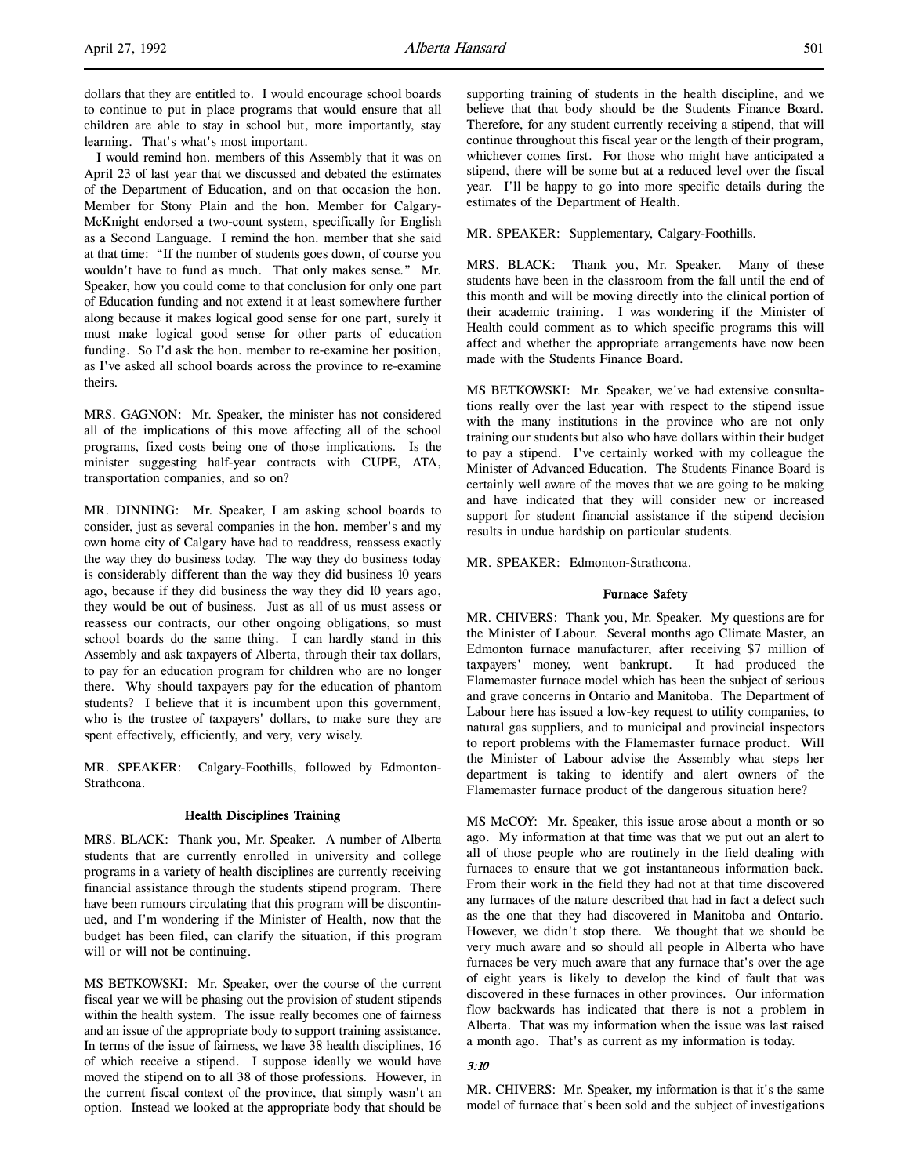dollars that they are entitled to. I would encourage school boards to continue to put in place programs that would ensure that all children are able to stay in school but, more importantly, stay learning. That's what's most important.

I would remind hon. members of this Assembly that it was on April 23 of last year that we discussed and debated the estimates of the Department of Education, and on that occasion the hon. Member for Stony Plain and the hon. Member for Calgary-McKnight endorsed a two-count system, specifically for English as a Second Language. I remind the hon. member that she said at that time: "If the number of students goes down, of course you wouldn't have to fund as much. That only makes sense." Mr. Speaker, how you could come to that conclusion for only one part of Education funding and not extend it at least somewhere further along because it makes logical good sense for one part, surely it must make logical good sense for other parts of education funding. So I'd ask the hon. member to re-examine her position, as I've asked all school boards across the province to re-examine theirs.

MRS. GAGNON: Mr. Speaker, the minister has not considered all of the implications of this move affecting all of the school programs, fixed costs being one of those implications. Is the minister suggesting half-year contracts with CUPE, ATA, transportation companies, and so on?

MR. DINNING: Mr. Speaker, I am asking school boards to consider, just as several companies in the hon. member's and my own home city of Calgary have had to readdress, reassess exactly the way they do business today. The way they do business today is considerably different than the way they did business 10 years ago, because if they did business the way they did 10 years ago, they would be out of business. Just as all of us must assess or reassess our contracts, our other ongoing obligations, so must school boards do the same thing. I can hardly stand in this Assembly and ask taxpayers of Alberta, through their tax dollars, to pay for an education program for children who are no longer there. Why should taxpayers pay for the education of phantom students? I believe that it is incumbent upon this government, who is the trustee of taxpayers' dollars, to make sure they are spent effectively, efficiently, and very, very wisely.

MR. SPEAKER: Calgary-Foothills, followed by Edmonton-Strathcona.

# Health Disciplines Training

MRS. BLACK: Thank you, Mr. Speaker. A number of Alberta students that are currently enrolled in university and college programs in a variety of health disciplines are currently receiving financial assistance through the students stipend program. There have been rumours circulating that this program will be discontinued, and I'm wondering if the Minister of Health, now that the budget has been filed, can clarify the situation, if this program will or will not be continuing.

MS BETKOWSKI: Mr. Speaker, over the course of the current fiscal year we will be phasing out the provision of student stipends within the health system. The issue really becomes one of fairness and an issue of the appropriate body to support training assistance. In terms of the issue of fairness, we have 38 health disciplines, 16 of which receive a stipend. I suppose ideally we would have moved the stipend on to all 38 of those professions. However, in the current fiscal context of the province, that simply wasn't an option. Instead we looked at the appropriate body that should be

supporting training of students in the health discipline, and we believe that that body should be the Students Finance Board. Therefore, for any student currently receiving a stipend, that will continue throughout this fiscal year or the length of their program, whichever comes first. For those who might have anticipated a stipend, there will be some but at a reduced level over the fiscal year. I'll be happy to go into more specific details during the estimates of the Department of Health.

MR. SPEAKER: Supplementary, Calgary-Foothills.

MRS. BLACK: Thank you, Mr. Speaker. Many of these students have been in the classroom from the fall until the end of this month and will be moving directly into the clinical portion of their academic training. I was wondering if the Minister of Health could comment as to which specific programs this will affect and whether the appropriate arrangements have now been made with the Students Finance Board.

MS BETKOWSKI: Mr. Speaker, we've had extensive consultations really over the last year with respect to the stipend issue with the many institutions in the province who are not only training our students but also who have dollars within their budget to pay a stipend. I've certainly worked with my colleague the Minister of Advanced Education. The Students Finance Board is certainly well aware of the moves that we are going to be making and have indicated that they will consider new or increased support for student financial assistance if the stipend decision results in undue hardship on particular students.

MR. SPEAKER: Edmonton-Strathcona.

### Furnace Safety

MR. CHIVERS: Thank you, Mr. Speaker. My questions are for the Minister of Labour. Several months ago Climate Master, an Edmonton furnace manufacturer, after receiving \$7 million of taxpayers' money, went bankrupt. It had produced the Flamemaster furnace model which has been the subject of serious and grave concerns in Ontario and Manitoba. The Department of Labour here has issued a low-key request to utility companies, to natural gas suppliers, and to municipal and provincial inspectors to report problems with the Flamemaster furnace product. Will the Minister of Labour advise the Assembly what steps her department is taking to identify and alert owners of the Flamemaster furnace product of the dangerous situation here?

MS McCOY: Mr. Speaker, this issue arose about a month or so ago. My information at that time was that we put out an alert to all of those people who are routinely in the field dealing with furnaces to ensure that we got instantaneous information back. From their work in the field they had not at that time discovered any furnaces of the nature described that had in fact a defect such as the one that they had discovered in Manitoba and Ontario. However, we didn't stop there. We thought that we should be very much aware and so should all people in Alberta who have furnaces be very much aware that any furnace that's over the age of eight years is likely to develop the kind of fault that was discovered in these furnaces in other provinces. Our information flow backwards has indicated that there is not a problem in Alberta. That was my information when the issue was last raised a month ago. That's as current as my information is today.

### 3:10

MR. CHIVERS: Mr. Speaker, my information is that it's the same model of furnace that's been sold and the subject of investigations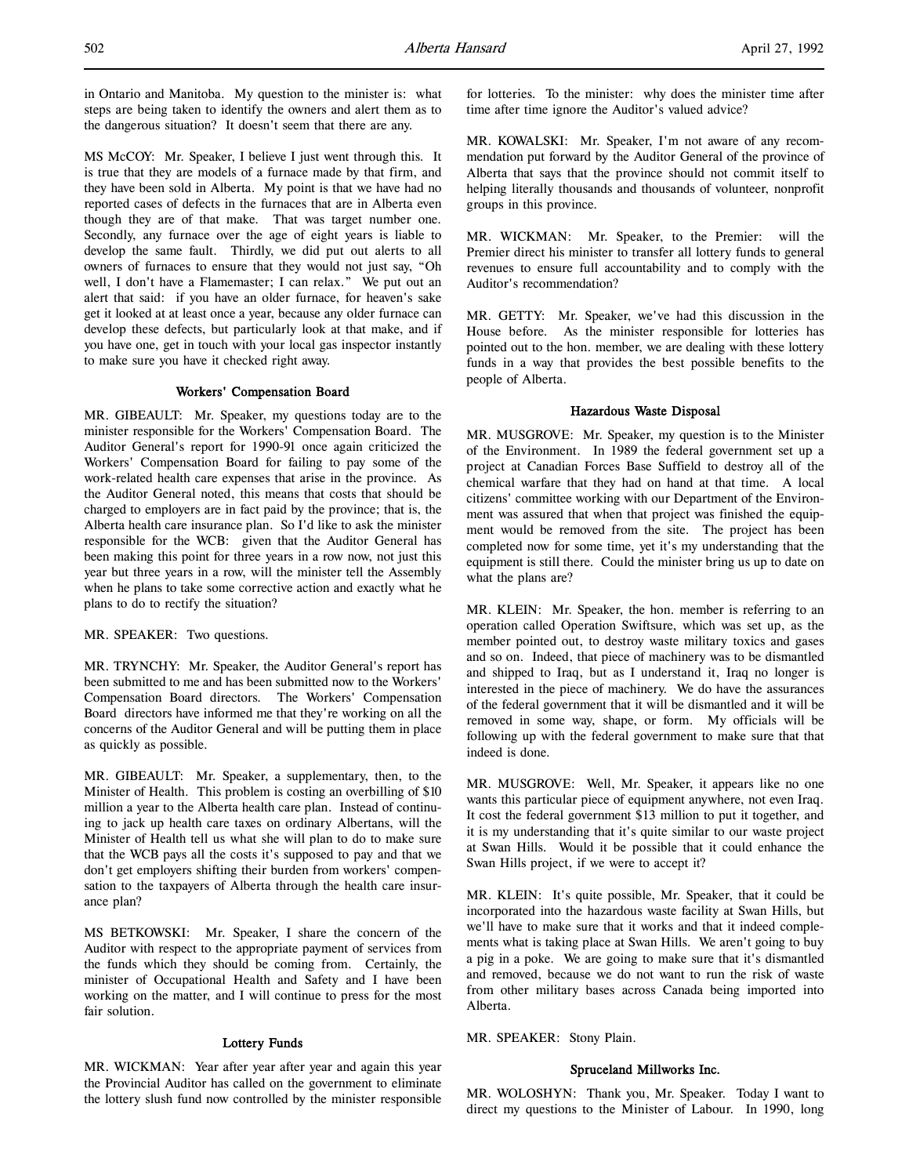in Ontario and Manitoba. My question to the minister is: what steps are being taken to identify the owners and alert them as to the dangerous situation? It doesn't seem that there are any.

MS McCOY: Mr. Speaker, I believe I just went through this. It is true that they are models of a furnace made by that firm, and they have been sold in Alberta. My point is that we have had no reported cases of defects in the furnaces that are in Alberta even though they are of that make. That was target number one. Secondly, any furnace over the age of eight years is liable to develop the same fault. Thirdly, we did put out alerts to all owners of furnaces to ensure that they would not just say, "Oh well, I don't have a Flamemaster; I can relax." We put out an alert that said: if you have an older furnace, for heaven's sake get it looked at at least once a year, because any older furnace can develop these defects, but particularly look at that make, and if you have one, get in touch with your local gas inspector instantly to make sure you have it checked right away.

# Workers' Compensation Board

MR. GIBEAULT: Mr. Speaker, my questions today are to the minister responsible for the Workers' Compensation Board. The Auditor General's report for 1990-91 once again criticized the Workers' Compensation Board for failing to pay some of the work-related health care expenses that arise in the province. As the Auditor General noted, this means that costs that should be charged to employers are in fact paid by the province; that is, the Alberta health care insurance plan. So I'd like to ask the minister responsible for the WCB: given that the Auditor General has been making this point for three years in a row now, not just this year but three years in a row, will the minister tell the Assembly when he plans to take some corrective action and exactly what he plans to do to rectify the situation?

MR. SPEAKER: Two questions.

MR. TRYNCHY: Mr. Speaker, the Auditor General's report has been submitted to me and has been submitted now to the Workers' Compensation Board directors. The Workers' Compensation Board directors have informed me that they're working on all the concerns of the Auditor General and will be putting them in place as quickly as possible.

MR. GIBEAULT: Mr. Speaker, a supplementary, then, to the Minister of Health. This problem is costing an overbilling of \$10 million a year to the Alberta health care plan. Instead of continuing to jack up health care taxes on ordinary Albertans, will the Minister of Health tell us what she will plan to do to make sure that the WCB pays all the costs it's supposed to pay and that we don't get employers shifting their burden from workers' compensation to the taxpayers of Alberta through the health care insurance plan?

MS BETKOWSKI: Mr. Speaker, I share the concern of the Auditor with respect to the appropriate payment of services from the funds which they should be coming from. Certainly, the minister of Occupational Health and Safety and I have been working on the matter, and I will continue to press for the most fair solution.

### Lottery Funds

MR. WICKMAN: Year after year after year and again this year the Provincial Auditor has called on the government to eliminate the lottery slush fund now controlled by the minister responsible for lotteries. To the minister: why does the minister time after time after time ignore the Auditor's valued advice?

MR. KOWALSKI: Mr. Speaker, I'm not aware of any recommendation put forward by the Auditor General of the province of Alberta that says that the province should not commit itself to helping literally thousands and thousands of volunteer, nonprofit groups in this province.

MR. WICKMAN: Mr. Speaker, to the Premier: will the Premier direct his minister to transfer all lottery funds to general revenues to ensure full accountability and to comply with the Auditor's recommendation?

MR. GETTY: Mr. Speaker, we've had this discussion in the House before. As the minister responsible for lotteries has pointed out to the hon. member, we are dealing with these lottery funds in a way that provides the best possible benefits to the people of Alberta.

### Hazardous Waste Disposal

MR. MUSGROVE: Mr. Speaker, my question is to the Minister of the Environment. In 1989 the federal government set up a project at Canadian Forces Base Suffield to destroy all of the chemical warfare that they had on hand at that time. A local citizens' committee working with our Department of the Environment was assured that when that project was finished the equipment would be removed from the site. The project has been completed now for some time, yet it's my understanding that the equipment is still there. Could the minister bring us up to date on what the plans are?

MR. KLEIN: Mr. Speaker, the hon. member is referring to an operation called Operation Swiftsure, which was set up, as the member pointed out, to destroy waste military toxics and gases and so on. Indeed, that piece of machinery was to be dismantled and shipped to Iraq, but as I understand it, Iraq no longer is interested in the piece of machinery. We do have the assurances of the federal government that it will be dismantled and it will be removed in some way, shape, or form. My officials will be following up with the federal government to make sure that that indeed is done.

MR. MUSGROVE: Well, Mr. Speaker, it appears like no one wants this particular piece of equipment anywhere, not even Iraq. It cost the federal government \$13 million to put it together, and it is my understanding that it's quite similar to our waste project at Swan Hills. Would it be possible that it could enhance the Swan Hills project, if we were to accept it?

MR. KLEIN: It's quite possible, Mr. Speaker, that it could be incorporated into the hazardous waste facility at Swan Hills, but we'll have to make sure that it works and that it indeed complements what is taking place at Swan Hills. We aren't going to buy a pig in a poke. We are going to make sure that it's dismantled and removed, because we do not want to run the risk of waste from other military bases across Canada being imported into Alberta.

MR. SPEAKER: Stony Plain.

# Spruceland Millworks Inc.

MR. WOLOSHYN: Thank you, Mr. Speaker. Today I want to direct my questions to the Minister of Labour. In 1990, long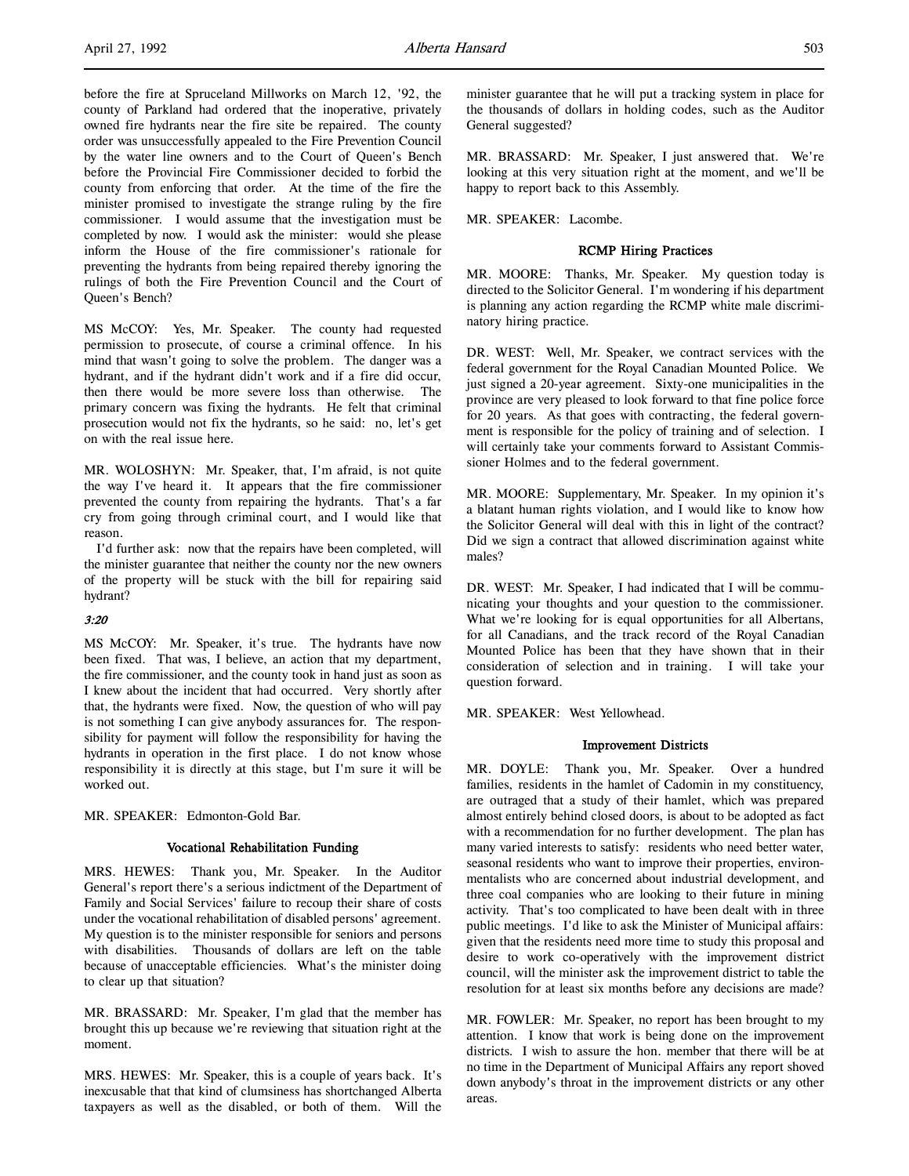before the fire at Spruceland Millworks on March 12, '92, the county of Parkland had ordered that the inoperative, privately owned fire hydrants near the fire site be repaired. The county order was unsuccessfully appealed to the Fire Prevention Council by the water line owners and to the Court of Queen's Bench before the Provincial Fire Commissioner decided to forbid the county from enforcing that order. At the time of the fire the minister promised to investigate the strange ruling by the fire commissioner. I would assume that the investigation must be completed by now. I would ask the minister: would she please inform the House of the fire commissioner's rationale for preventing the hydrants from being repaired thereby ignoring the rulings of both the Fire Prevention Council and the Court of Queen's Bench?

MS McCOY: Yes, Mr. Speaker. The county had requested permission to prosecute, of course a criminal offence. In his mind that wasn't going to solve the problem. The danger was a hydrant, and if the hydrant didn't work and if a fire did occur, then there would be more severe loss than otherwise. The primary concern was fixing the hydrants. He felt that criminal prosecution would not fix the hydrants, so he said: no, let's get on with the real issue here.

MR. WOLOSHYN: Mr. Speaker, that, I'm afraid, is not quite the way I've heard it. It appears that the fire commissioner prevented the county from repairing the hydrants. That's a far cry from going through criminal court, and I would like that reason.

I'd further ask: now that the repairs have been completed, will the minister guarantee that neither the county nor the new owners of the property will be stuck with the bill for repairing said hydrant?

# 3:20

MS McCOY: Mr. Speaker, it's true. The hydrants have now been fixed. That was, I believe, an action that my department, the fire commissioner, and the county took in hand just as soon as I knew about the incident that had occurred. Very shortly after that, the hydrants were fixed. Now, the question of who will pay is not something I can give anybody assurances for. The responsibility for payment will follow the responsibility for having the hydrants in operation in the first place. I do not know whose responsibility it is directly at this stage, but I'm sure it will be worked out.

MR. SPEAKER: Edmonton-Gold Bar.

# Vocational Rehabilitation Funding

MRS. HEWES: Thank you, Mr. Speaker. In the Auditor General's report there's a serious indictment of the Department of Family and Social Services' failure to recoup their share of costs under the vocational rehabilitation of disabled persons' agreement. My question is to the minister responsible for seniors and persons with disabilities. Thousands of dollars are left on the table because of unacceptable efficiencies. What's the minister doing to clear up that situation?

MR. BRASSARD: Mr. Speaker, I'm glad that the member has brought this up because we're reviewing that situation right at the moment.

MRS. HEWES: Mr. Speaker, this is a couple of years back. It's inexcusable that that kind of clumsiness has shortchanged Alberta taxpayers as well as the disabled, or both of them. Will the

minister guarantee that he will put a tracking system in place for the thousands of dollars in holding codes, such as the Auditor General suggested?

MR. BRASSARD: Mr. Speaker, I just answered that. We're looking at this very situation right at the moment, and we'll be happy to report back to this Assembly.

MR. SPEAKER: Lacombe.

### RCMP Hiring Practices

MR. MOORE: Thanks, Mr. Speaker. My question today is directed to the Solicitor General. I'm wondering if his department is planning any action regarding the RCMP white male discriminatory hiring practice.

DR. WEST: Well, Mr. Speaker, we contract services with the federal government for the Royal Canadian Mounted Police. We just signed a 20-year agreement. Sixty-one municipalities in the province are very pleased to look forward to that fine police force for 20 years. As that goes with contracting, the federal government is responsible for the policy of training and of selection. I will certainly take your comments forward to Assistant Commissioner Holmes and to the federal government.

MR. MOORE: Supplementary, Mr. Speaker. In my opinion it's a blatant human rights violation, and I would like to know how the Solicitor General will deal with this in light of the contract? Did we sign a contract that allowed discrimination against white males?

DR. WEST: Mr. Speaker, I had indicated that I will be communicating your thoughts and your question to the commissioner. What we're looking for is equal opportunities for all Albertans, for all Canadians, and the track record of the Royal Canadian Mounted Police has been that they have shown that in their consideration of selection and in training. I will take your question forward.

MR. SPEAKER: West Yellowhead.

# Improvement Districts

MR. DOYLE: Thank you, Mr. Speaker. Over a hundred families, residents in the hamlet of Cadomin in my constituency, are outraged that a study of their hamlet, which was prepared almost entirely behind closed doors, is about to be adopted as fact with a recommendation for no further development. The plan has many varied interests to satisfy: residents who need better water, seasonal residents who want to improve their properties, environmentalists who are concerned about industrial development, and three coal companies who are looking to their future in mining activity. That's too complicated to have been dealt with in three public meetings. I'd like to ask the Minister of Municipal affairs: given that the residents need more time to study this proposal and desire to work co-operatively with the improvement district council, will the minister ask the improvement district to table the resolution for at least six months before any decisions are made?

MR. FOWLER: Mr. Speaker, no report has been brought to my attention. I know that work is being done on the improvement districts. I wish to assure the hon. member that there will be at no time in the Department of Municipal Affairs any report shoved down anybody's throat in the improvement districts or any other areas.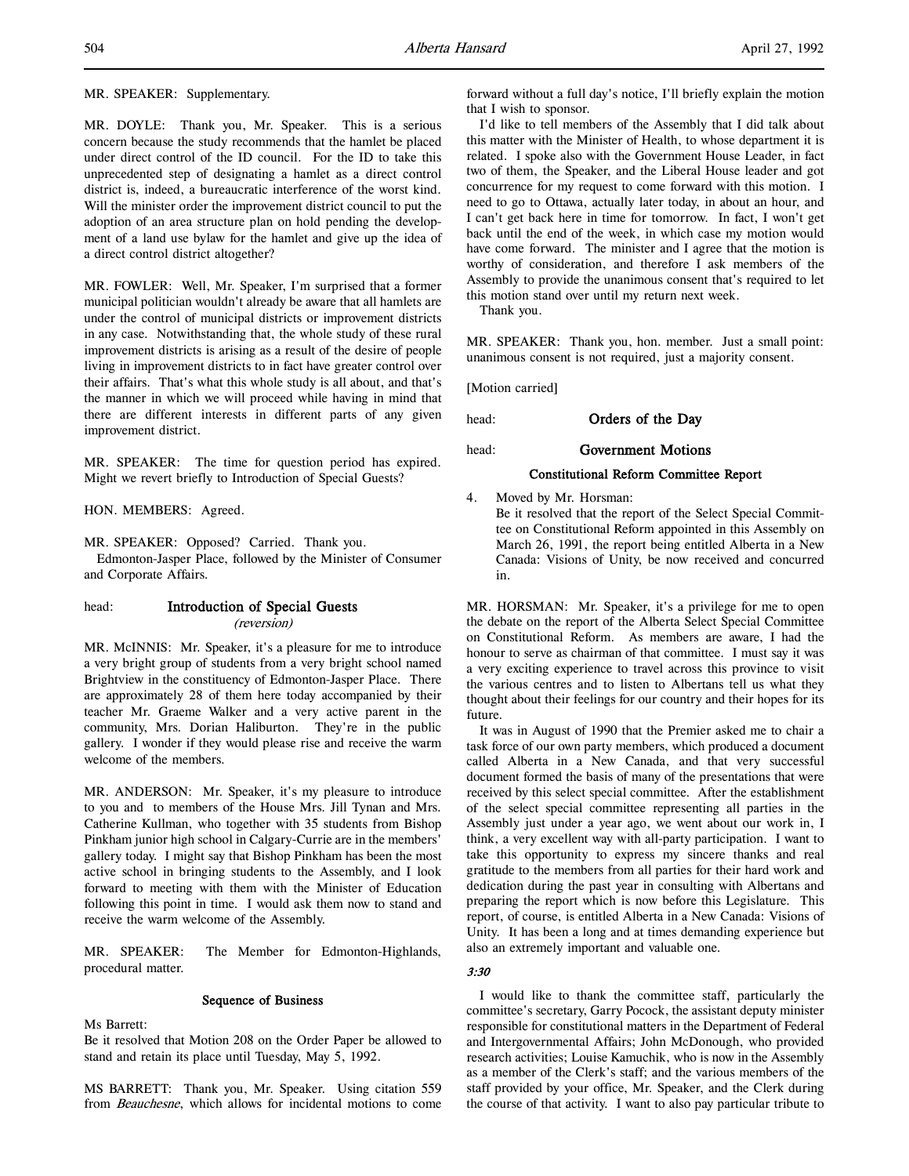MR. SPEAKER: Supplementary.

MR. DOYLE: Thank you, Mr. Speaker. This is a serious concern because the study recommends that the hamlet be placed under direct control of the ID council. For the ID to take this unprecedented step of designating a hamlet as a direct control district is, indeed, a bureaucratic interference of the worst kind. Will the minister order the improvement district council to put the adoption of an area structure plan on hold pending the development of a land use bylaw for the hamlet and give up the idea of a direct control district altogether?

MR. FOWLER: Well, Mr. Speaker, I'm surprised that a former municipal politician wouldn't already be aware that all hamlets are under the control of municipal districts or improvement districts in any case. Notwithstanding that, the whole study of these rural improvement districts is arising as a result of the desire of people living in improvement districts to in fact have greater control over their affairs. That's what this whole study is all about, and that's the manner in which we will proceed while having in mind that there are different interests in different parts of any given improvement district.

MR. SPEAKER: The time for question period has expired. Might we revert briefly to Introduction of Special Guests?

HON. MEMBERS: Agreed.

MR. SPEAKER: Opposed? Carried. Thank you.

Edmonton-Jasper Place, followed by the Minister of Consumer and Corporate Affairs.

# head: Introduction of Special Guests (reversion)

MR. McINNIS: Mr. Speaker, it's a pleasure for me to introduce a very bright group of students from a very bright school named Brightview in the constituency of Edmonton-Jasper Place. There are approximately 28 of them here today accompanied by their teacher Mr. Graeme Walker and a very active parent in the community, Mrs. Dorian Haliburton. They're in the public gallery. I wonder if they would please rise and receive the warm welcome of the members.

MR. ANDERSON: Mr. Speaker, it's my pleasure to introduce to you and to members of the House Mrs. Jill Tynan and Mrs. Catherine Kullman, who together with 35 students from Bishop Pinkham junior high school in Calgary-Currie are in the members' gallery today. I might say that Bishop Pinkham has been the most active school in bringing students to the Assembly, and I look forward to meeting with them with the Minister of Education following this point in time. I would ask them now to stand and receive the warm welcome of the Assembly.

MR. SPEAKER: The Member for Edmonton-Highlands, procedural matter.

### Sequence of Business

Ms Barrett:

Be it resolved that Motion 208 on the Order Paper be allowed to stand and retain its place until Tuesday, May 5, 1992.

MS BARRETT: Thank you, Mr. Speaker. Using citation 559 from Beauchesne, which allows for incidental motions to come forward without a full day's notice, I'll briefly explain the motion that I wish to sponsor.

I'd like to tell members of the Assembly that I did talk about this matter with the Minister of Health, to whose department it is related. I spoke also with the Government House Leader, in fact two of them, the Speaker, and the Liberal House leader and got concurrence for my request to come forward with this motion. I need to go to Ottawa, actually later today, in about an hour, and I can't get back here in time for tomorrow. In fact, I won't get back until the end of the week, in which case my motion would have come forward. The minister and I agree that the motion is worthy of consideration, and therefore I ask members of the Assembly to provide the unanimous consent that's required to let this motion stand over until my return next week.

Thank you.

MR. SPEAKER: Thank you, hon. member. Just a small point: unanimous consent is not required, just a majority consent.

[Motion carried]

head: **Orders of the Day** 

head: **Government Motions** 

# Constitutional Reform Committee Report

4. Moved by Mr. Horsman:

Be it resolved that the report of the Select Special Committee on Constitutional Reform appointed in this Assembly on March 26, 1991, the report being entitled Alberta in a New Canada: Visions of Unity, be now received and concurred in.

MR. HORSMAN: Mr. Speaker, it's a privilege for me to open the debate on the report of the Alberta Select Special Committee on Constitutional Reform. As members are aware, I had the honour to serve as chairman of that committee. I must say it was a very exciting experience to travel across this province to visit the various centres and to listen to Albertans tell us what they thought about their feelings for our country and their hopes for its future.

It was in August of 1990 that the Premier asked me to chair a task force of our own party members, which produced a document called Alberta in a New Canada, and that very successful document formed the basis of many of the presentations that were received by this select special committee. After the establishment of the select special committee representing all parties in the Assembly just under a year ago, we went about our work in, I think, a very excellent way with all-party participation. I want to take this opportunity to express my sincere thanks and real gratitude to the members from all parties for their hard work and dedication during the past year in consulting with Albertans and preparing the report which is now before this Legislature. This report, of course, is entitled Alberta in a New Canada: Visions of Unity. It has been a long and at times demanding experience but also an extremely important and valuable one.

# 3:30

I would like to thank the committee staff, particularly the committee's secretary, Garry Pocock, the assistant deputy minister responsible for constitutional matters in the Department of Federal and Intergovernmental Affairs; John McDonough, who provided research activities; Louise Kamuchik, who is now in the Assembly as a member of the Clerk's staff; and the various members of the staff provided by your office, Mr. Speaker, and the Clerk during the course of that activity. I want to also pay particular tribute to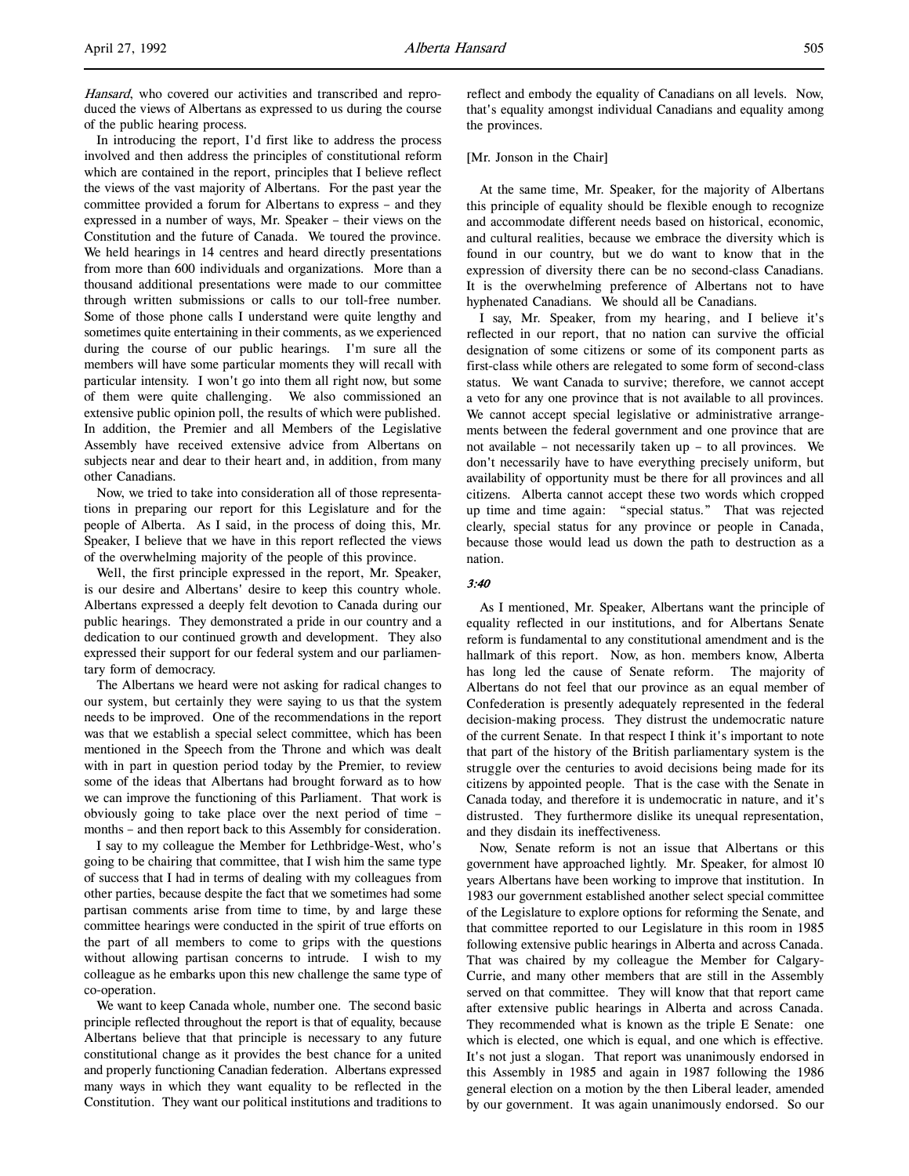Hansard, who covered our activities and transcribed and reproduced the views of Albertans as expressed to us during the course of the public hearing process.

In introducing the report, I'd first like to address the process involved and then address the principles of constitutional reform which are contained in the report, principles that I believe reflect the views of the vast majority of Albertans. For the past year the committee provided a forum for Albertans to express – and they expressed in a number of ways, Mr. Speaker – their views on the Constitution and the future of Canada. We toured the province. We held hearings in 14 centres and heard directly presentations from more than 600 individuals and organizations. More than a thousand additional presentations were made to our committee through written submissions or calls to our toll-free number. Some of those phone calls I understand were quite lengthy and sometimes quite entertaining in their comments, as we experienced during the course of our public hearings. I'm sure all the members will have some particular moments they will recall with particular intensity. I won't go into them all right now, but some of them were quite challenging. We also commissioned an extensive public opinion poll, the results of which were published. In addition, the Premier and all Members of the Legislative Assembly have received extensive advice from Albertans on subjects near and dear to their heart and, in addition, from many other Canadians.

Now, we tried to take into consideration all of those representations in preparing our report for this Legislature and for the people of Alberta. As I said, in the process of doing this, Mr. Speaker, I believe that we have in this report reflected the views of the overwhelming majority of the people of this province.

Well, the first principle expressed in the report, Mr. Speaker, is our desire and Albertans' desire to keep this country whole. Albertans expressed a deeply felt devotion to Canada during our public hearings. They demonstrated a pride in our country and a dedication to our continued growth and development. They also expressed their support for our federal system and our parliamentary form of democracy.

The Albertans we heard were not asking for radical changes to our system, but certainly they were saying to us that the system needs to be improved. One of the recommendations in the report was that we establish a special select committee, which has been mentioned in the Speech from the Throne and which was dealt with in part in question period today by the Premier, to review some of the ideas that Albertans had brought forward as to how we can improve the functioning of this Parliament. That work is obviously going to take place over the next period of time – months – and then report back to this Assembly for consideration.

I say to my colleague the Member for Lethbridge-West, who's going to be chairing that committee, that I wish him the same type of success that I had in terms of dealing with my colleagues from other parties, because despite the fact that we sometimes had some partisan comments arise from time to time, by and large these committee hearings were conducted in the spirit of true efforts on the part of all members to come to grips with the questions without allowing partisan concerns to intrude. I wish to my colleague as he embarks upon this new challenge the same type of co-operation.

We want to keep Canada whole, number one. The second basic principle reflected throughout the report is that of equality, because Albertans believe that that principle is necessary to any future constitutional change as it provides the best chance for a united and properly functioning Canadian federation. Albertans expressed many ways in which they want equality to be reflected in the Constitution. They want our political institutions and traditions to

reflect and embody the equality of Canadians on all levels. Now, that's equality amongst individual Canadians and equality among the provinces.

### [Mr. Jonson in the Chair]

At the same time, Mr. Speaker, for the majority of Albertans this principle of equality should be flexible enough to recognize and accommodate different needs based on historical, economic, and cultural realities, because we embrace the diversity which is found in our country, but we do want to know that in the expression of diversity there can be no second-class Canadians. It is the overwhelming preference of Albertans not to have hyphenated Canadians. We should all be Canadians.

I say, Mr. Speaker, from my hearing, and I believe it's reflected in our report, that no nation can survive the official designation of some citizens or some of its component parts as first-class while others are relegated to some form of second-class status. We want Canada to survive; therefore, we cannot accept a veto for any one province that is not available to all provinces. We cannot accept special legislative or administrative arrangements between the federal government and one province that are not available – not necessarily taken up – to all provinces. We don't necessarily have to have everything precisely uniform, but availability of opportunity must be there for all provinces and all citizens. Alberta cannot accept these two words which cropped up time and time again: "special status." That was rejected clearly, special status for any province or people in Canada, because those would lead us down the path to destruction as a nation.

### 3:40

As I mentioned, Mr. Speaker, Albertans want the principle of equality reflected in our institutions, and for Albertans Senate reform is fundamental to any constitutional amendment and is the hallmark of this report. Now, as hon. members know, Alberta has long led the cause of Senate reform. The majority of Albertans do not feel that our province as an equal member of Confederation is presently adequately represented in the federal decision-making process. They distrust the undemocratic nature of the current Senate. In that respect I think it's important to note that part of the history of the British parliamentary system is the struggle over the centuries to avoid decisions being made for its citizens by appointed people. That is the case with the Senate in Canada today, and therefore it is undemocratic in nature, and it's distrusted. They furthermore dislike its unequal representation, and they disdain its ineffectiveness.

Now, Senate reform is not an issue that Albertans or this government have approached lightly. Mr. Speaker, for almost 10 years Albertans have been working to improve that institution. In 1983 our government established another select special committee of the Legislature to explore options for reforming the Senate, and that committee reported to our Legislature in this room in 1985 following extensive public hearings in Alberta and across Canada. That was chaired by my colleague the Member for Calgary-Currie, and many other members that are still in the Assembly served on that committee. They will know that that report came after extensive public hearings in Alberta and across Canada. They recommended what is known as the triple E Senate: one which is elected, one which is equal, and one which is effective. It's not just a slogan. That report was unanimously endorsed in this Assembly in 1985 and again in 1987 following the 1986 general election on a motion by the then Liberal leader, amended by our government. It was again unanimously endorsed. So our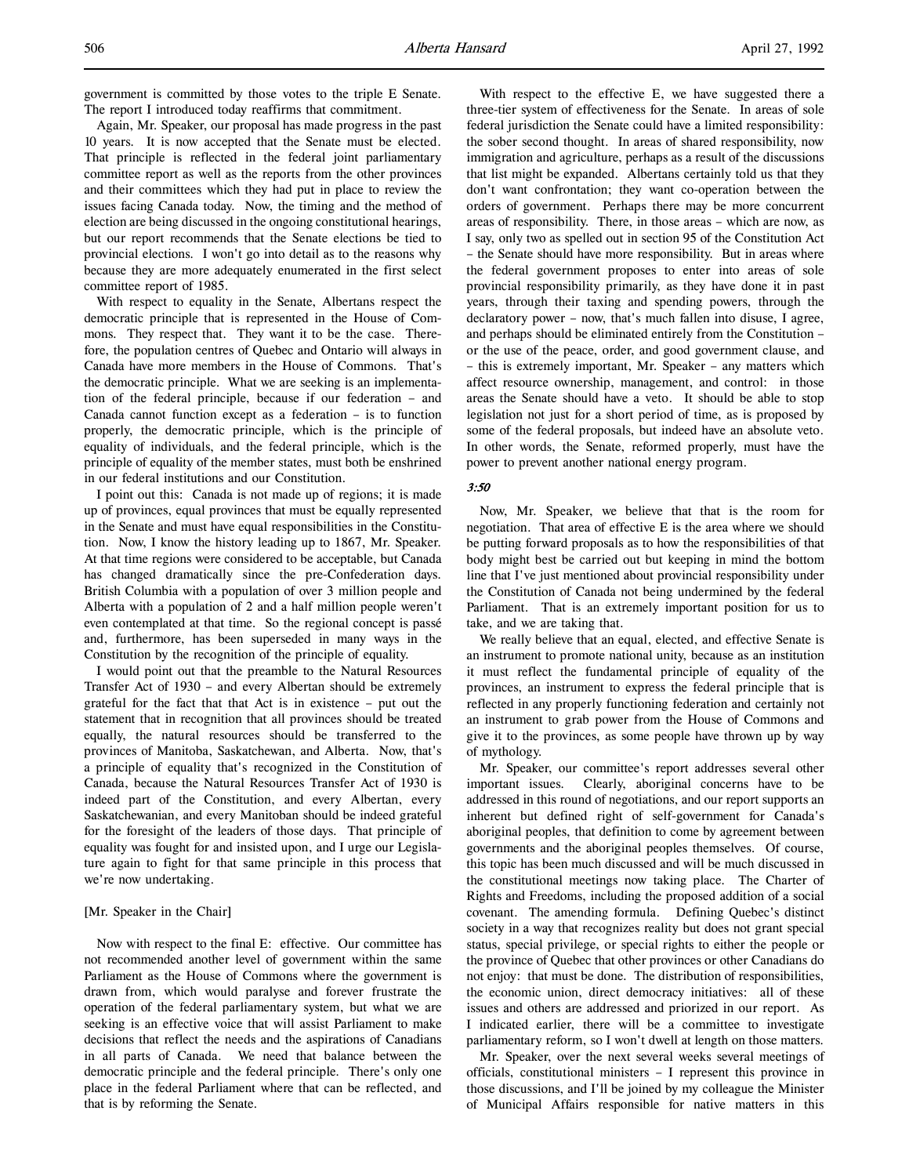government is committed by those votes to the triple E Senate. The report I introduced today reaffirms that commitment.

Again, Mr. Speaker, our proposal has made progress in the past 10 years. It is now accepted that the Senate must be elected. That principle is reflected in the federal joint parliamentary committee report as well as the reports from the other provinces and their committees which they had put in place to review the issues facing Canada today. Now, the timing and the method of election are being discussed in the ongoing constitutional hearings, but our report recommends that the Senate elections be tied to provincial elections. I won't go into detail as to the reasons why because they are more adequately enumerated in the first select committee report of 1985.

With respect to equality in the Senate, Albertans respect the democratic principle that is represented in the House of Commons. They respect that. They want it to be the case. Therefore, the population centres of Quebec and Ontario will always in Canada have more members in the House of Commons. That's the democratic principle. What we are seeking is an implementation of the federal principle, because if our federation – and Canada cannot function except as a federation – is to function properly, the democratic principle, which is the principle of equality of individuals, and the federal principle, which is the principle of equality of the member states, must both be enshrined in our federal institutions and our Constitution.

I point out this: Canada is not made up of regions; it is made up of provinces, equal provinces that must be equally represented in the Senate and must have equal responsibilities in the Constitution. Now, I know the history leading up to 1867, Mr. Speaker. At that time regions were considered to be acceptable, but Canada has changed dramatically since the pre-Confederation days. British Columbia with a population of over 3 million people and Alberta with a population of 2 and a half million people weren't even contemplated at that time. So the regional concept is passé and, furthermore, has been superseded in many ways in the Constitution by the recognition of the principle of equality.

I would point out that the preamble to the Natural Resources Transfer Act of 1930 – and every Albertan should be extremely grateful for the fact that that Act is in existence – put out the statement that in recognition that all provinces should be treated equally, the natural resources should be transferred to the provinces of Manitoba, Saskatchewan, and Alberta. Now, that's a principle of equality that's recognized in the Constitution of Canada, because the Natural Resources Transfer Act of 1930 is indeed part of the Constitution, and every Albertan, every Saskatchewanian, and every Manitoban should be indeed grateful for the foresight of the leaders of those days. That principle of equality was fought for and insisted upon, and I urge our Legislature again to fight for that same principle in this process that we're now undertaking.

### [Mr. Speaker in the Chair]

Now with respect to the final E: effective. Our committee has not recommended another level of government within the same Parliament as the House of Commons where the government is drawn from, which would paralyse and forever frustrate the operation of the federal parliamentary system, but what we are seeking is an effective voice that will assist Parliament to make decisions that reflect the needs and the aspirations of Canadians in all parts of Canada. We need that balance between the democratic principle and the federal principle. There's only one place in the federal Parliament where that can be reflected, and that is by reforming the Senate.

With respect to the effective E, we have suggested there a three-tier system of effectiveness for the Senate. In areas of sole federal jurisdiction the Senate could have a limited responsibility: the sober second thought. In areas of shared responsibility, now immigration and agriculture, perhaps as a result of the discussions that list might be expanded. Albertans certainly told us that they don't want confrontation; they want co-operation between the orders of government. Perhaps there may be more concurrent areas of responsibility. There, in those areas – which are now, as I say, only two as spelled out in section 95 of the Constitution Act – the Senate should have more responsibility. But in areas where the federal government proposes to enter into areas of sole provincial responsibility primarily, as they have done it in past years, through their taxing and spending powers, through the declaratory power – now, that's much fallen into disuse, I agree, and perhaps should be eliminated entirely from the Constitution – or the use of the peace, order, and good government clause, and – this is extremely important, Mr. Speaker – any matters which affect resource ownership, management, and control: in those areas the Senate should have a veto. It should be able to stop legislation not just for a short period of time, as is proposed by some of the federal proposals, but indeed have an absolute veto. In other words, the Senate, reformed properly, must have the power to prevent another national energy program.

### 3:50

Now, Mr. Speaker, we believe that that is the room for negotiation. That area of effective E is the area where we should be putting forward proposals as to how the responsibilities of that body might best be carried out but keeping in mind the bottom line that I've just mentioned about provincial responsibility under the Constitution of Canada not being undermined by the federal Parliament. That is an extremely important position for us to take, and we are taking that.

We really believe that an equal, elected, and effective Senate is an instrument to promote national unity, because as an institution it must reflect the fundamental principle of equality of the provinces, an instrument to express the federal principle that is reflected in any properly functioning federation and certainly not an instrument to grab power from the House of Commons and give it to the provinces, as some people have thrown up by way of mythology.

Mr. Speaker, our committee's report addresses several other important issues. Clearly, aboriginal concerns have to be addressed in this round of negotiations, and our report supports an inherent but defined right of self-government for Canada's aboriginal peoples, that definition to come by agreement between governments and the aboriginal peoples themselves. Of course, this topic has been much discussed and will be much discussed in the constitutional meetings now taking place. The Charter of Rights and Freedoms, including the proposed addition of a social covenant. The amending formula. Defining Quebec's distinct society in a way that recognizes reality but does not grant special status, special privilege, or special rights to either the people or the province of Quebec that other provinces or other Canadians do not enjoy: that must be done. The distribution of responsibilities, the economic union, direct democracy initiatives: all of these issues and others are addressed and priorized in our report. As I indicated earlier, there will be a committee to investigate parliamentary reform, so I won't dwell at length on those matters.

Mr. Speaker, over the next several weeks several meetings of officials, constitutional ministers – I represent this province in those discussions, and I'll be joined by my colleague the Minister of Municipal Affairs responsible for native matters in this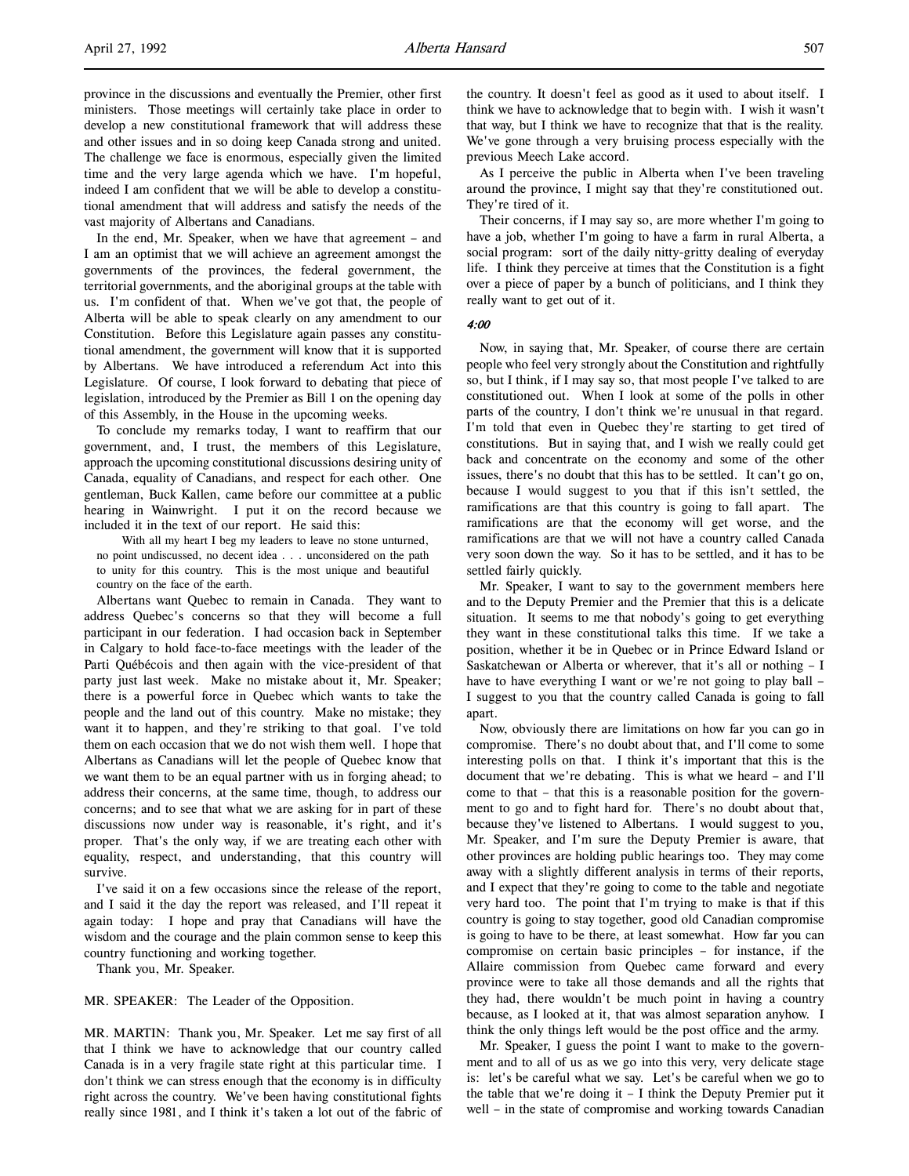province in the discussions and eventually the Premier, other first ministers. Those meetings will certainly take place in order to develop a new constitutional framework that will address these and other issues and in so doing keep Canada strong and united. The challenge we face is enormous, especially given the limited time and the very large agenda which we have. I'm hopeful, indeed I am confident that we will be able to develop a constitutional amendment that will address and satisfy the needs of the vast majority of Albertans and Canadians.

In the end, Mr. Speaker, when we have that agreement – and I am an optimist that we will achieve an agreement amongst the governments of the provinces, the federal government, the territorial governments, and the aboriginal groups at the table with us. I'm confident of that. When we've got that, the people of Alberta will be able to speak clearly on any amendment to our Constitution. Before this Legislature again passes any constitutional amendment, the government will know that it is supported by Albertans. We have introduced a referendum Act into this Legislature. Of course, I look forward to debating that piece of legislation, introduced by the Premier as Bill 1 on the opening day of this Assembly, in the House in the upcoming weeks.

To conclude my remarks today, I want to reaffirm that our government, and, I trust, the members of this Legislature, approach the upcoming constitutional discussions desiring unity of Canada, equality of Canadians, and respect for each other. One gentleman, Buck Kallen, came before our committee at a public hearing in Wainwright. I put it on the record because we included it in the text of our report. He said this:

With all my heart I beg my leaders to leave no stone unturned, no point undiscussed, no decent idea . . . unconsidered on the path to unity for this country. This is the most unique and beautiful country on the face of the earth.

Albertans want Quebec to remain in Canada. They want to address Quebec's concerns so that they will become a full participant in our federation. I had occasion back in September in Calgary to hold face-to-face meetings with the leader of the Parti Québécois and then again with the vice-president of that party just last week. Make no mistake about it, Mr. Speaker; there is a powerful force in Quebec which wants to take the people and the land out of this country. Make no mistake; they want it to happen, and they're striking to that goal. I've told them on each occasion that we do not wish them well. I hope that Albertans as Canadians will let the people of Quebec know that we want them to be an equal partner with us in forging ahead; to address their concerns, at the same time, though, to address our concerns; and to see that what we are asking for in part of these discussions now under way is reasonable, it's right, and it's proper. That's the only way, if we are treating each other with equality, respect, and understanding, that this country will survive.

I've said it on a few occasions since the release of the report, and I said it the day the report was released, and I'll repeat it again today: I hope and pray that Canadians will have the wisdom and the courage and the plain common sense to keep this country functioning and working together.

Thank you, Mr. Speaker.

MR. SPEAKER: The Leader of the Opposition.

MR. MARTIN: Thank you, Mr. Speaker. Let me say first of all that I think we have to acknowledge that our country called Canada is in a very fragile state right at this particular time. I don't think we can stress enough that the economy is in difficulty right across the country. We've been having constitutional fights really since 1981, and I think it's taken a lot out of the fabric of the country. It doesn't feel as good as it used to about itself. I think we have to acknowledge that to begin with. I wish it wasn't that way, but I think we have to recognize that that is the reality. We've gone through a very bruising process especially with the previous Meech Lake accord.

As I perceive the public in Alberta when I've been traveling around the province, I might say that they're constitutioned out. They're tired of it.

Their concerns, if I may say so, are more whether I'm going to have a job, whether I'm going to have a farm in rural Alberta, a social program: sort of the daily nitty-gritty dealing of everyday life. I think they perceive at times that the Constitution is a fight over a piece of paper by a bunch of politicians, and I think they really want to get out of it.

### 4:00

Now, in saying that, Mr. Speaker, of course there are certain people who feel very strongly about the Constitution and rightfully so, but I think, if I may say so, that most people I've talked to are constitutioned out. When I look at some of the polls in other parts of the country, I don't think we're unusual in that regard. I'm told that even in Quebec they're starting to get tired of constitutions. But in saying that, and I wish we really could get back and concentrate on the economy and some of the other issues, there's no doubt that this has to be settled. It can't go on, because I would suggest to you that if this isn't settled, the ramifications are that this country is going to fall apart. The ramifications are that the economy will get worse, and the ramifications are that we will not have a country called Canada very soon down the way. So it has to be settled, and it has to be settled fairly quickly.

Mr. Speaker, I want to say to the government members here and to the Deputy Premier and the Premier that this is a delicate situation. It seems to me that nobody's going to get everything they want in these constitutional talks this time. If we take a position, whether it be in Quebec or in Prince Edward Island or Saskatchewan or Alberta or wherever, that it's all or nothing – I have to have everything I want or we're not going to play ball – I suggest to you that the country called Canada is going to fall apart.

Now, obviously there are limitations on how far you can go in compromise. There's no doubt about that, and I'll come to some interesting polls on that. I think it's important that this is the document that we're debating. This is what we heard – and I'll come to that – that this is a reasonable position for the government to go and to fight hard for. There's no doubt about that, because they've listened to Albertans. I would suggest to you, Mr. Speaker, and I'm sure the Deputy Premier is aware, that other provinces are holding public hearings too. They may come away with a slightly different analysis in terms of their reports, and I expect that they're going to come to the table and negotiate very hard too. The point that I'm trying to make is that if this country is going to stay together, good old Canadian compromise is going to have to be there, at least somewhat. How far you can compromise on certain basic principles – for instance, if the Allaire commission from Quebec came forward and every province were to take all those demands and all the rights that they had, there wouldn't be much point in having a country because, as I looked at it, that was almost separation anyhow. I think the only things left would be the post office and the army.

Mr. Speaker, I guess the point I want to make to the government and to all of us as we go into this very, very delicate stage is: let's be careful what we say. Let's be careful when we go to the table that we're doing it – I think the Deputy Premier put it well – in the state of compromise and working towards Canadian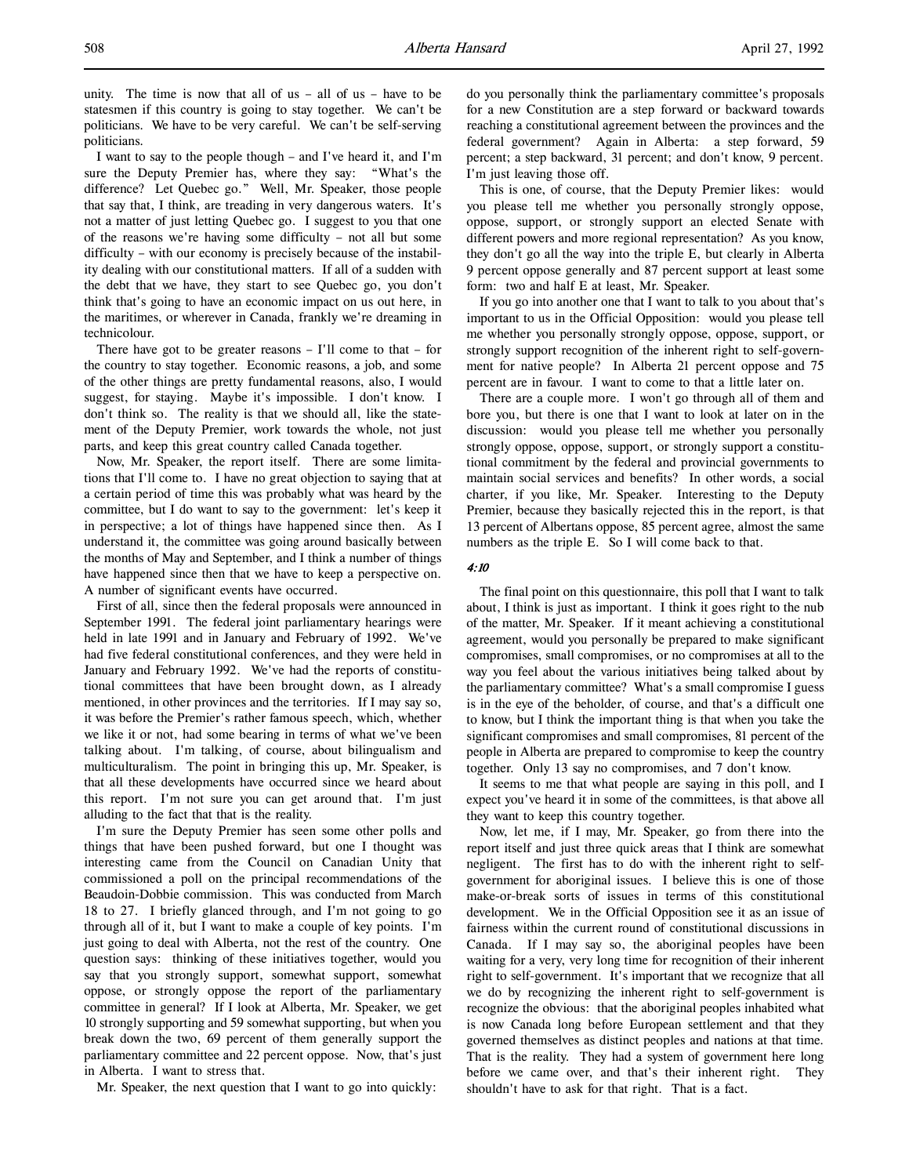I want to say to the people though – and I've heard it, and I'm sure the Deputy Premier has, where they say: "What's the difference? Let Quebec go." Well, Mr. Speaker, those people that say that, I think, are treading in very dangerous waters. It's not a matter of just letting Quebec go. I suggest to you that one of the reasons we're having some difficulty – not all but some difficulty – with our economy is precisely because of the instability dealing with our constitutional matters. If all of a sudden with the debt that we have, they start to see Quebec go, you don't think that's going to have an economic impact on us out here, in the maritimes, or wherever in Canada, frankly we're dreaming in technicolour.

There have got to be greater reasons – I'll come to that – for the country to stay together. Economic reasons, a job, and some of the other things are pretty fundamental reasons, also, I would suggest, for staying. Maybe it's impossible. I don't know. I don't think so. The reality is that we should all, like the statement of the Deputy Premier, work towards the whole, not just parts, and keep this great country called Canada together.

Now, Mr. Speaker, the report itself. There are some limitations that I'll come to. I have no great objection to saying that at a certain period of time this was probably what was heard by the committee, but I do want to say to the government: let's keep it in perspective; a lot of things have happened since then. As I understand it, the committee was going around basically between the months of May and September, and I think a number of things have happened since then that we have to keep a perspective on. A number of significant events have occurred.

First of all, since then the federal proposals were announced in September 1991. The federal joint parliamentary hearings were held in late 1991 and in January and February of 1992. We've had five federal constitutional conferences, and they were held in January and February 1992. We've had the reports of constitutional committees that have been brought down, as I already mentioned, in other provinces and the territories. If I may say so, it was before the Premier's rather famous speech, which, whether we like it or not, had some bearing in terms of what we've been talking about. I'm talking, of course, about bilingualism and multiculturalism. The point in bringing this up, Mr. Speaker, is that all these developments have occurred since we heard about this report. I'm not sure you can get around that. I'm just alluding to the fact that that is the reality.

I'm sure the Deputy Premier has seen some other polls and things that have been pushed forward, but one I thought was interesting came from the Council on Canadian Unity that commissioned a poll on the principal recommendations of the Beaudoin-Dobbie commission. This was conducted from March 18 to 27. I briefly glanced through, and I'm not going to go through all of it, but I want to make a couple of key points. I'm just going to deal with Alberta, not the rest of the country. One question says: thinking of these initiatives together, would you say that you strongly support, somewhat support, somewhat oppose, or strongly oppose the report of the parliamentary committee in general? If I look at Alberta, Mr. Speaker, we get 10 strongly supporting and 59 somewhat supporting, but when you break down the two, 69 percent of them generally support the parliamentary committee and 22 percent oppose. Now, that's just in Alberta. I want to stress that.

Mr. Speaker, the next question that I want to go into quickly:

do you personally think the parliamentary committee's proposals for a new Constitution are a step forward or backward towards reaching a constitutional agreement between the provinces and the federal government? Again in Alberta: a step forward, 59 percent; a step backward, 31 percent; and don't know, 9 percent. I'm just leaving those off.

This is one, of course, that the Deputy Premier likes: would you please tell me whether you personally strongly oppose, oppose, support, or strongly support an elected Senate with different powers and more regional representation? As you know, they don't go all the way into the triple E, but clearly in Alberta 9 percent oppose generally and 87 percent support at least some form: two and half E at least, Mr. Speaker.

If you go into another one that I want to talk to you about that's important to us in the Official Opposition: would you please tell me whether you personally strongly oppose, oppose, support, or strongly support recognition of the inherent right to self-government for native people? In Alberta 21 percent oppose and 75 percent are in favour. I want to come to that a little later on.

There are a couple more. I won't go through all of them and bore you, but there is one that I want to look at later on in the discussion: would you please tell me whether you personally strongly oppose, oppose, support, or strongly support a constitutional commitment by the federal and provincial governments to maintain social services and benefits? In other words, a social charter, if you like, Mr. Speaker. Interesting to the Deputy Premier, because they basically rejected this in the report, is that 13 percent of Albertans oppose, 85 percent agree, almost the same numbers as the triple E. So I will come back to that.

### 4:10

The final point on this questionnaire, this poll that I want to talk about, I think is just as important. I think it goes right to the nub of the matter, Mr. Speaker. If it meant achieving a constitutional agreement, would you personally be prepared to make significant compromises, small compromises, or no compromises at all to the way you feel about the various initiatives being talked about by the parliamentary committee? What's a small compromise I guess is in the eye of the beholder, of course, and that's a difficult one to know, but I think the important thing is that when you take the significant compromises and small compromises, 81 percent of the people in Alberta are prepared to compromise to keep the country together. Only 13 say no compromises, and 7 don't know.

It seems to me that what people are saying in this poll, and I expect you've heard it in some of the committees, is that above all they want to keep this country together.

Now, let me, if I may, Mr. Speaker, go from there into the report itself and just three quick areas that I think are somewhat negligent. The first has to do with the inherent right to selfgovernment for aboriginal issues. I believe this is one of those make-or-break sorts of issues in terms of this constitutional development. We in the Official Opposition see it as an issue of fairness within the current round of constitutional discussions in Canada. If I may say so, the aboriginal peoples have been waiting for a very, very long time for recognition of their inherent right to self-government. It's important that we recognize that all we do by recognizing the inherent right to self-government is recognize the obvious: that the aboriginal peoples inhabited what is now Canada long before European settlement and that they governed themselves as distinct peoples and nations at that time. That is the reality. They had a system of government here long before we came over, and that's their inherent right. They shouldn't have to ask for that right. That is a fact.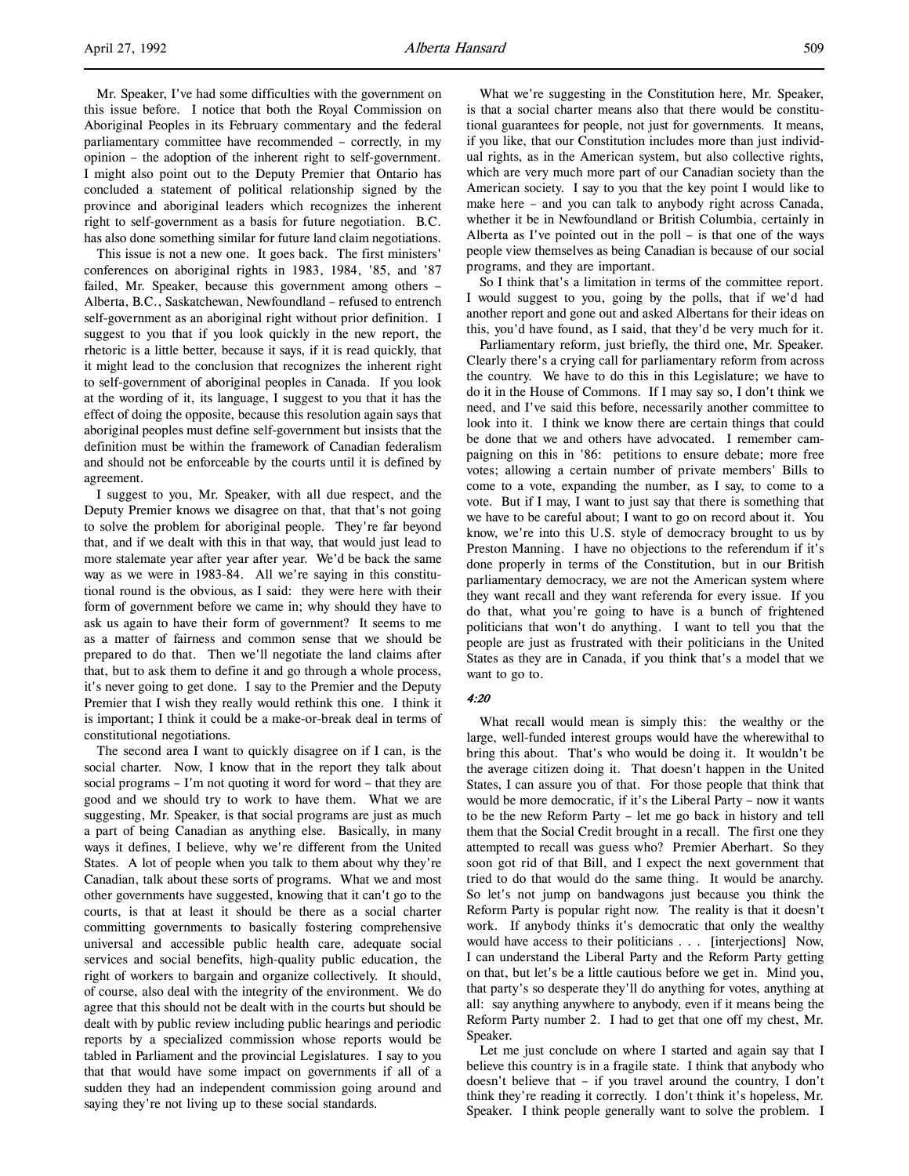Mr. Speaker, I've had some difficulties with the government on this issue before. I notice that both the Royal Commission on Aboriginal Peoples in its February commentary and the federal parliamentary committee have recommended – correctly, in my opinion – the adoption of the inherent right to self-government. I might also point out to the Deputy Premier that Ontario has concluded a statement of political relationship signed by the province and aboriginal leaders which recognizes the inherent right to self-government as a basis for future negotiation. B.C. has also done something similar for future land claim negotiations.

This issue is not a new one. It goes back. The first ministers' conferences on aboriginal rights in 1983, 1984, '85, and '87 failed, Mr. Speaker, because this government among others – Alberta, B.C., Saskatchewan, Newfoundland – refused to entrench self-government as an aboriginal right without prior definition. I suggest to you that if you look quickly in the new report, the rhetoric is a little better, because it says, if it is read quickly, that it might lead to the conclusion that recognizes the inherent right to self-government of aboriginal peoples in Canada. If you look at the wording of it, its language, I suggest to you that it has the effect of doing the opposite, because this resolution again says that aboriginal peoples must define self-government but insists that the definition must be within the framework of Canadian federalism and should not be enforceable by the courts until it is defined by agreement.

I suggest to you, Mr. Speaker, with all due respect, and the Deputy Premier knows we disagree on that, that that's not going to solve the problem for aboriginal people. They're far beyond that, and if we dealt with this in that way, that would just lead to more stalemate year after year after year. We'd be back the same way as we were in 1983-84. All we're saying in this constitutional round is the obvious, as I said: they were here with their form of government before we came in; why should they have to ask us again to have their form of government? It seems to me as a matter of fairness and common sense that we should be prepared to do that. Then we'll negotiate the land claims after that, but to ask them to define it and go through a whole process, it's never going to get done. I say to the Premier and the Deputy Premier that I wish they really would rethink this one. I think it is important; I think it could be a make-or-break deal in terms of constitutional negotiations.

The second area I want to quickly disagree on if I can, is the social charter. Now, I know that in the report they talk about social programs  $-$  I'm not quoting it word for word  $-$  that they are good and we should try to work to have them. What we are suggesting, Mr. Speaker, is that social programs are just as much a part of being Canadian as anything else. Basically, in many ways it defines, I believe, why we're different from the United States. A lot of people when you talk to them about why they're Canadian, talk about these sorts of programs. What we and most other governments have suggested, knowing that it can't go to the courts, is that at least it should be there as a social charter committing governments to basically fostering comprehensive universal and accessible public health care, adequate social services and social benefits, high-quality public education, the right of workers to bargain and organize collectively. It should, of course, also deal with the integrity of the environment. We do agree that this should not be dealt with in the courts but should be dealt with by public review including public hearings and periodic reports by a specialized commission whose reports would be tabled in Parliament and the provincial Legislatures. I say to you that that would have some impact on governments if all of a sudden they had an independent commission going around and saying they're not living up to these social standards.

What we're suggesting in the Constitution here, Mr. Speaker, is that a social charter means also that there would be constitutional guarantees for people, not just for governments. It means, if you like, that our Constitution includes more than just individual rights, as in the American system, but also collective rights, which are very much more part of our Canadian society than the American society. I say to you that the key point I would like to make here – and you can talk to anybody right across Canada, whether it be in Newfoundland or British Columbia, certainly in Alberta as I've pointed out in the poll – is that one of the ways people view themselves as being Canadian is because of our social programs, and they are important.

So I think that's a limitation in terms of the committee report. I would suggest to you, going by the polls, that if we'd had another report and gone out and asked Albertans for their ideas on this, you'd have found, as I said, that they'd be very much for it.

Parliamentary reform, just briefly, the third one, Mr. Speaker. Clearly there's a crying call for parliamentary reform from across the country. We have to do this in this Legislature; we have to do it in the House of Commons. If I may say so, I don't think we need, and I've said this before, necessarily another committee to look into it. I think we know there are certain things that could be done that we and others have advocated. I remember campaigning on this in '86: petitions to ensure debate; more free votes; allowing a certain number of private members' Bills to come to a vote, expanding the number, as I say, to come to a vote. But if I may, I want to just say that there is something that we have to be careful about; I want to go on record about it. You know, we're into this U.S. style of democracy brought to us by Preston Manning. I have no objections to the referendum if it's done properly in terms of the Constitution, but in our British parliamentary democracy, we are not the American system where they want recall and they want referenda for every issue. If you do that, what you're going to have is a bunch of frightened politicians that won't do anything. I want to tell you that the people are just as frustrated with their politicians in the United States as they are in Canada, if you think that's a model that we want to go to.

### 4:20

What recall would mean is simply this: the wealthy or the large, well-funded interest groups would have the wherewithal to bring this about. That's who would be doing it. It wouldn't be the average citizen doing it. That doesn't happen in the United States, I can assure you of that. For those people that think that would be more democratic, if it's the Liberal Party – now it wants to be the new Reform Party – let me go back in history and tell them that the Social Credit brought in a recall. The first one they attempted to recall was guess who? Premier Aberhart. So they soon got rid of that Bill, and I expect the next government that tried to do that would do the same thing. It would be anarchy. So let's not jump on bandwagons just because you think the Reform Party is popular right now. The reality is that it doesn't work. If anybody thinks it's democratic that only the wealthy would have access to their politicians . . . [interjections] Now, I can understand the Liberal Party and the Reform Party getting on that, but let's be a little cautious before we get in. Mind you, that party's so desperate they'll do anything for votes, anything at all: say anything anywhere to anybody, even if it means being the Reform Party number 2. I had to get that one off my chest, Mr. Speaker.

Let me just conclude on where I started and again say that I believe this country is in a fragile state. I think that anybody who doesn't believe that – if you travel around the country, I don't think they're reading it correctly. I don't think it's hopeless, Mr. Speaker. I think people generally want to solve the problem. I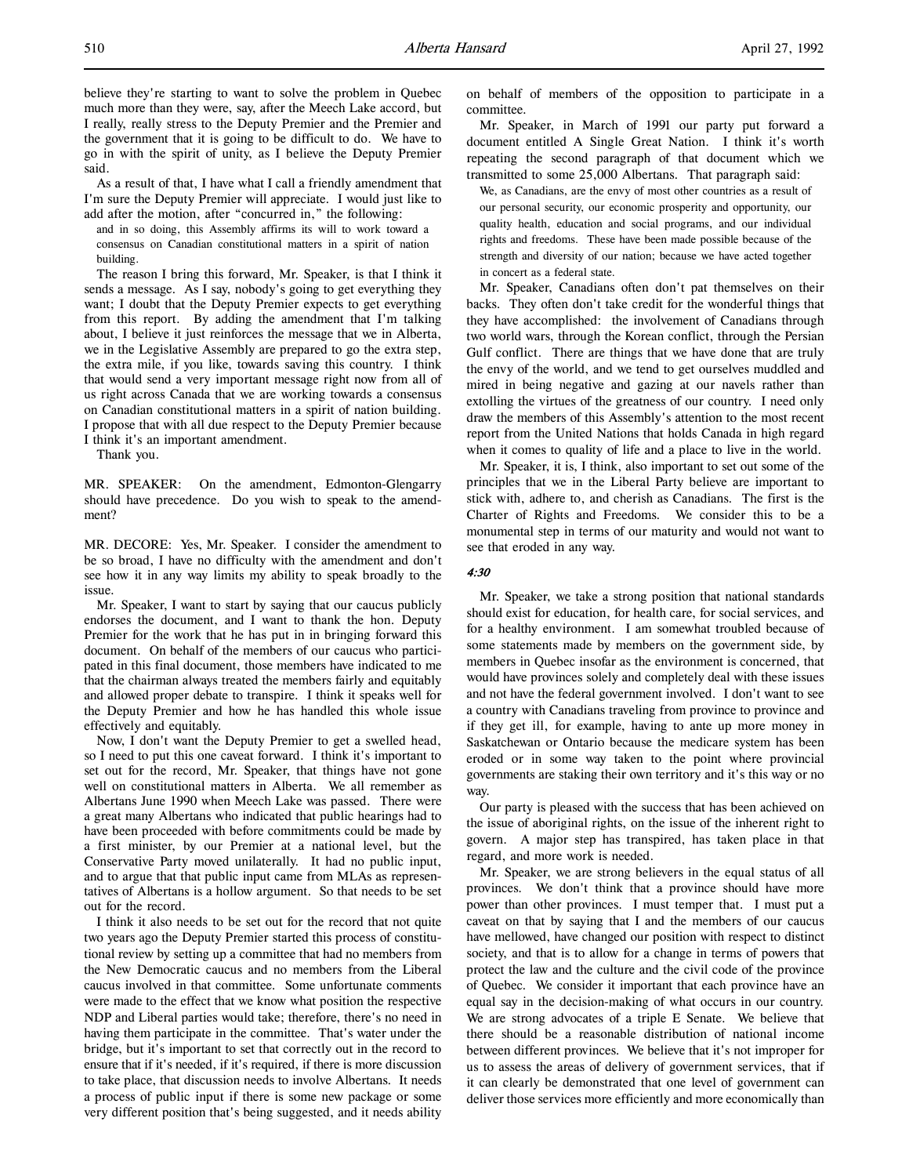As a result of that, I have what I call a friendly amendment that I'm sure the Deputy Premier will appreciate. I would just like to add after the motion, after "concurred in," the following:

and in so doing, this Assembly affirms its will to work toward a consensus on Canadian constitutional matters in a spirit of nation building.

The reason I bring this forward, Mr. Speaker, is that I think it sends a message. As I say, nobody's going to get everything they want; I doubt that the Deputy Premier expects to get everything from this report. By adding the amendment that I'm talking about, I believe it just reinforces the message that we in Alberta, we in the Legislative Assembly are prepared to go the extra step, the extra mile, if you like, towards saving this country. I think that would send a very important message right now from all of us right across Canada that we are working towards a consensus on Canadian constitutional matters in a spirit of nation building. I propose that with all due respect to the Deputy Premier because I think it's an important amendment.

Thank you.

MR. SPEAKER: On the amendment, Edmonton-Glengarry should have precedence. Do you wish to speak to the amendment?

MR. DECORE: Yes, Mr. Speaker. I consider the amendment to be so broad, I have no difficulty with the amendment and don't see how it in any way limits my ability to speak broadly to the issue.

Mr. Speaker, I want to start by saying that our caucus publicly endorses the document, and I want to thank the hon. Deputy Premier for the work that he has put in in bringing forward this document. On behalf of the members of our caucus who participated in this final document, those members have indicated to me that the chairman always treated the members fairly and equitably and allowed proper debate to transpire. I think it speaks well for the Deputy Premier and how he has handled this whole issue effectively and equitably.

Now, I don't want the Deputy Premier to get a swelled head, so I need to put this one caveat forward. I think it's important to set out for the record, Mr. Speaker, that things have not gone well on constitutional matters in Alberta. We all remember as Albertans June 1990 when Meech Lake was passed. There were a great many Albertans who indicated that public hearings had to have been proceeded with before commitments could be made by a first minister, by our Premier at a national level, but the Conservative Party moved unilaterally. It had no public input, and to argue that that public input came from MLAs as representatives of Albertans is a hollow argument. So that needs to be set out for the record.

I think it also needs to be set out for the record that not quite two years ago the Deputy Premier started this process of constitutional review by setting up a committee that had no members from the New Democratic caucus and no members from the Liberal caucus involved in that committee. Some unfortunate comments were made to the effect that we know what position the respective NDP and Liberal parties would take; therefore, there's no need in having them participate in the committee. That's water under the bridge, but it's important to set that correctly out in the record to ensure that if it's needed, if it's required, if there is more discussion to take place, that discussion needs to involve Albertans. It needs a process of public input if there is some new package or some very different position that's being suggested, and it needs ability

on behalf of members of the opposition to participate in a committee.

Mr. Speaker, in March of 1991 our party put forward a document entitled A Single Great Nation. I think it's worth repeating the second paragraph of that document which we transmitted to some 25,000 Albertans. That paragraph said:

We, as Canadians, are the envy of most other countries as a result of our personal security, our economic prosperity and opportunity, our quality health, education and social programs, and our individual rights and freedoms. These have been made possible because of the strength and diversity of our nation; because we have acted together in concert as a federal state.

Mr. Speaker, Canadians often don't pat themselves on their backs. They often don't take credit for the wonderful things that they have accomplished: the involvement of Canadians through two world wars, through the Korean conflict, through the Persian Gulf conflict. There are things that we have done that are truly the envy of the world, and we tend to get ourselves muddled and mired in being negative and gazing at our navels rather than extolling the virtues of the greatness of our country. I need only draw the members of this Assembly's attention to the most recent report from the United Nations that holds Canada in high regard when it comes to quality of life and a place to live in the world.

Mr. Speaker, it is, I think, also important to set out some of the principles that we in the Liberal Party believe are important to stick with, adhere to, and cherish as Canadians. The first is the Charter of Rights and Freedoms. We consider this to be a monumental step in terms of our maturity and would not want to see that eroded in any way.

### 4:30

Mr. Speaker, we take a strong position that national standards should exist for education, for health care, for social services, and for a healthy environment. I am somewhat troubled because of some statements made by members on the government side, by members in Quebec insofar as the environment is concerned, that would have provinces solely and completely deal with these issues and not have the federal government involved. I don't want to see a country with Canadians traveling from province to province and if they get ill, for example, having to ante up more money in Saskatchewan or Ontario because the medicare system has been eroded or in some way taken to the point where provincial governments are staking their own territory and it's this way or no way.

Our party is pleased with the success that has been achieved on the issue of aboriginal rights, on the issue of the inherent right to govern. A major step has transpired, has taken place in that regard, and more work is needed.

Mr. Speaker, we are strong believers in the equal status of all provinces. We don't think that a province should have more power than other provinces. I must temper that. I must put a caveat on that by saying that I and the members of our caucus have mellowed, have changed our position with respect to distinct society, and that is to allow for a change in terms of powers that protect the law and the culture and the civil code of the province of Quebec. We consider it important that each province have an equal say in the decision-making of what occurs in our country. We are strong advocates of a triple E Senate. We believe that there should be a reasonable distribution of national income between different provinces. We believe that it's not improper for us to assess the areas of delivery of government services, that if it can clearly be demonstrated that one level of government can deliver those services more efficiently and more economically than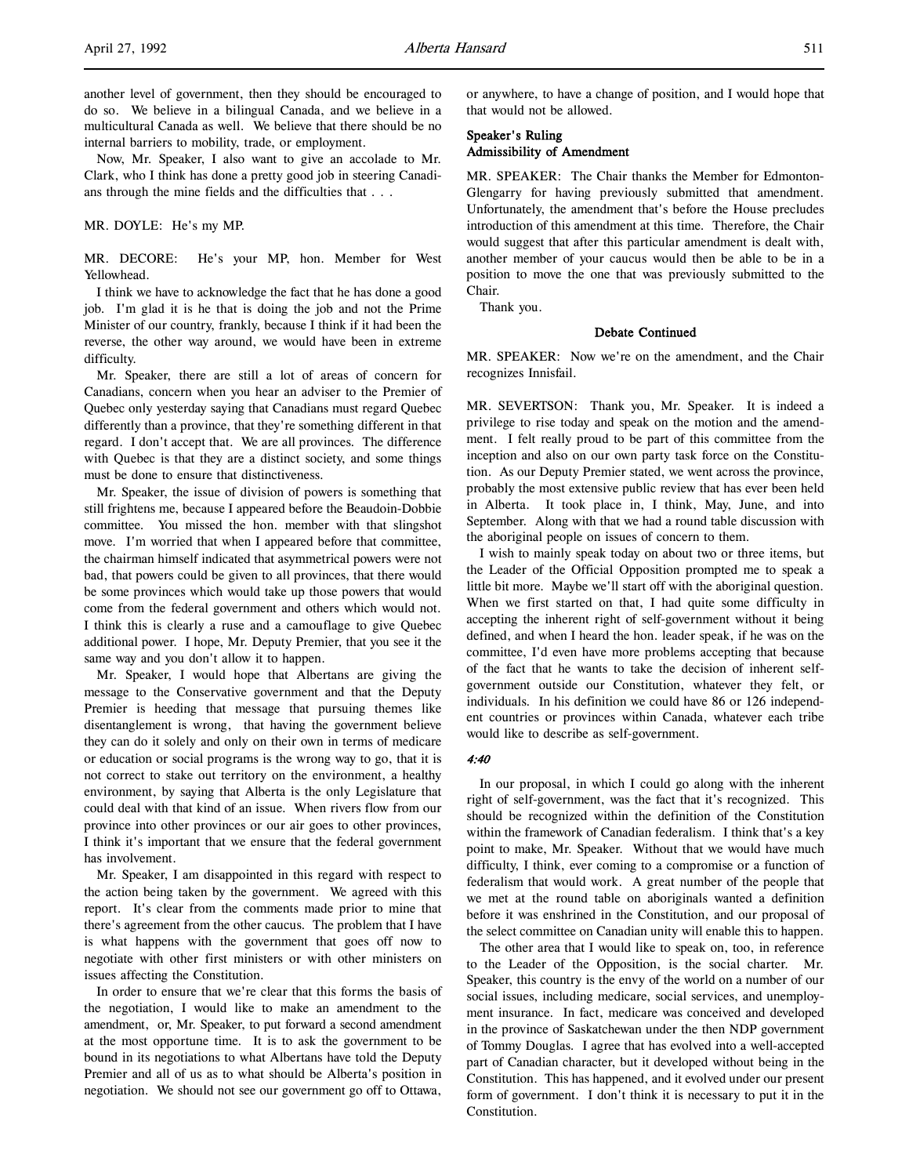Now, Mr. Speaker, I also want to give an accolade to Mr. Clark, who I think has done a pretty good job in steering Canadians through the mine fields and the difficulties that . . .

MR. DOYLE: He's my MP.

MR. DECORE: He's your MP, hon. Member for West Yellowhead.

I think we have to acknowledge the fact that he has done a good job. I'm glad it is he that is doing the job and not the Prime Minister of our country, frankly, because I think if it had been the reverse, the other way around, we would have been in extreme difficulty.

Mr. Speaker, there are still a lot of areas of concern for Canadians, concern when you hear an adviser to the Premier of Quebec only yesterday saying that Canadians must regard Quebec differently than a province, that they're something different in that regard. I don't accept that. We are all provinces. The difference with Quebec is that they are a distinct society, and some things must be done to ensure that distinctiveness.

Mr. Speaker, the issue of division of powers is something that still frightens me, because I appeared before the Beaudoin-Dobbie committee. You missed the hon. member with that slingshot move. I'm worried that when I appeared before that committee, the chairman himself indicated that asymmetrical powers were not bad, that powers could be given to all provinces, that there would be some provinces which would take up those powers that would come from the federal government and others which would not. I think this is clearly a ruse and a camouflage to give Quebec additional power. I hope, Mr. Deputy Premier, that you see it the same way and you don't allow it to happen.

Mr. Speaker, I would hope that Albertans are giving the message to the Conservative government and that the Deputy Premier is heeding that message that pursuing themes like disentanglement is wrong, that having the government believe they can do it solely and only on their own in terms of medicare or education or social programs is the wrong way to go, that it is not correct to stake out territory on the environment, a healthy environment, by saying that Alberta is the only Legislature that could deal with that kind of an issue. When rivers flow from our province into other provinces or our air goes to other provinces, I think it's important that we ensure that the federal government has involvement.

Mr. Speaker, I am disappointed in this regard with respect to the action being taken by the government. We agreed with this report. It's clear from the comments made prior to mine that there's agreement from the other caucus. The problem that I have is what happens with the government that goes off now to negotiate with other first ministers or with other ministers on issues affecting the Constitution.

In order to ensure that we're clear that this forms the basis of the negotiation, I would like to make an amendment to the amendment, or, Mr. Speaker, to put forward a second amendment at the most opportune time. It is to ask the government to be bound in its negotiations to what Albertans have told the Deputy Premier and all of us as to what should be Alberta's position in negotiation. We should not see our government go off to Ottawa,

or anywhere, to have a change of position, and I would hope that that would not be allowed.

# Speaker's Ruling Admissibility of Amendment

MR. SPEAKER: The Chair thanks the Member for Edmonton-Glengarry for having previously submitted that amendment. Unfortunately, the amendment that's before the House precludes introduction of this amendment at this time. Therefore, the Chair would suggest that after this particular amendment is dealt with, another member of your caucus would then be able to be in a position to move the one that was previously submitted to the Chair.

Thank you.

# Debate Continued

MR. SPEAKER: Now we're on the amendment, and the Chair recognizes Innisfail.

MR. SEVERTSON: Thank you, Mr. Speaker. It is indeed a privilege to rise today and speak on the motion and the amendment. I felt really proud to be part of this committee from the inception and also on our own party task force on the Constitution. As our Deputy Premier stated, we went across the province, probably the most extensive public review that has ever been held in Alberta. It took place in, I think, May, June, and into September. Along with that we had a round table discussion with the aboriginal people on issues of concern to them.

I wish to mainly speak today on about two or three items, but the Leader of the Official Opposition prompted me to speak a little bit more. Maybe we'll start off with the aboriginal question. When we first started on that, I had quite some difficulty in accepting the inherent right of self-government without it being defined, and when I heard the hon. leader speak, if he was on the committee, I'd even have more problems accepting that because of the fact that he wants to take the decision of inherent selfgovernment outside our Constitution, whatever they felt, or individuals. In his definition we could have 86 or 126 independent countries or provinces within Canada, whatever each tribe would like to describe as self-government.

# 4:40

In our proposal, in which I could go along with the inherent right of self-government, was the fact that it's recognized. This should be recognized within the definition of the Constitution within the framework of Canadian federalism. I think that's a key point to make, Mr. Speaker. Without that we would have much difficulty, I think, ever coming to a compromise or a function of federalism that would work. A great number of the people that we met at the round table on aboriginals wanted a definition before it was enshrined in the Constitution, and our proposal of the select committee on Canadian unity will enable this to happen.

The other area that I would like to speak on, too, in reference to the Leader of the Opposition, is the social charter. Mr. Speaker, this country is the envy of the world on a number of our social issues, including medicare, social services, and unemployment insurance. In fact, medicare was conceived and developed in the province of Saskatchewan under the then NDP government of Tommy Douglas. I agree that has evolved into a well-accepted part of Canadian character, but it developed without being in the Constitution. This has happened, and it evolved under our present form of government. I don't think it is necessary to put it in the Constitution.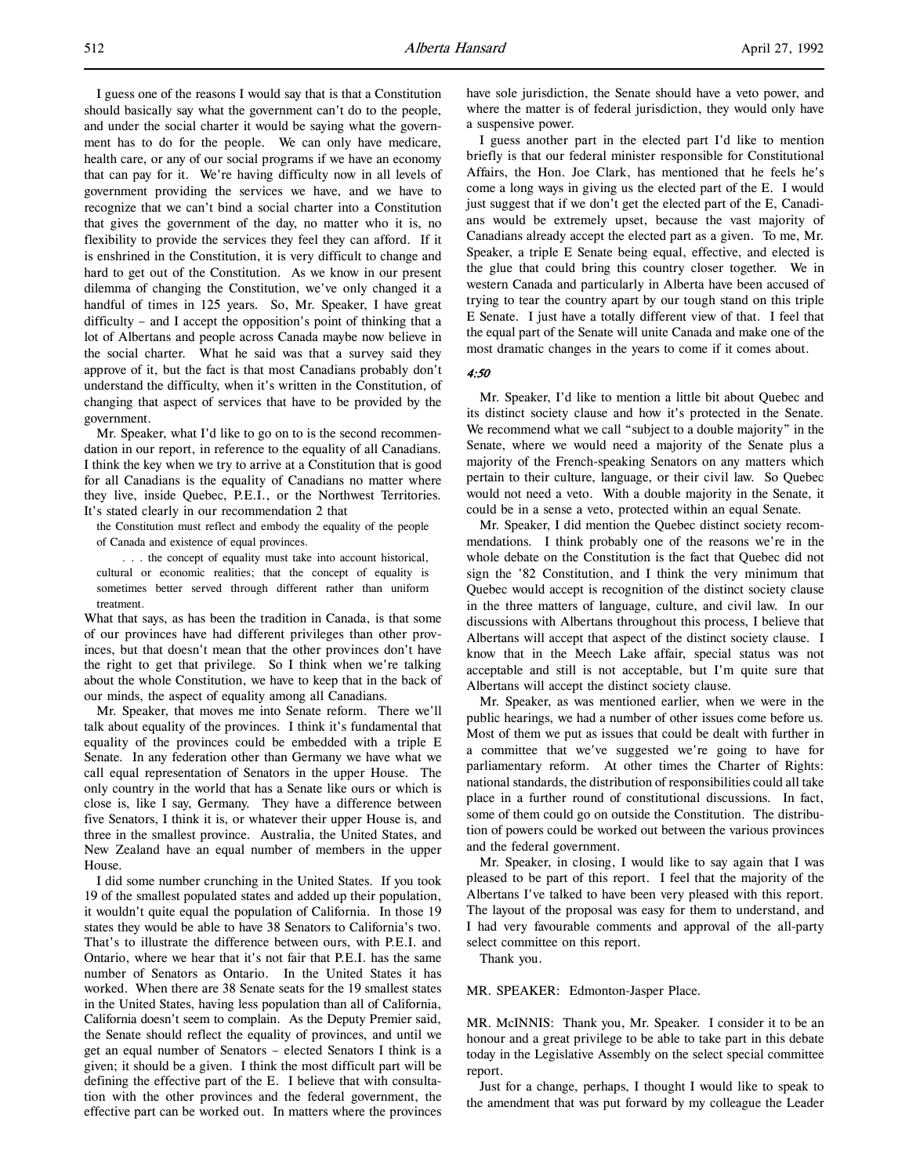I guess one of the reasons I would say that is that a Constitution should basically say what the government can't do to the people, and under the social charter it would be saying what the government has to do for the people. We can only have medicare, health care, or any of our social programs if we have an economy that can pay for it. We're having difficulty now in all levels of government providing the services we have, and we have to recognize that we can't bind a social charter into a Constitution that gives the government of the day, no matter who it is, no flexibility to provide the services they feel they can afford. If it is enshrined in the Constitution, it is very difficult to change and hard to get out of the Constitution. As we know in our present dilemma of changing the Constitution, we've only changed it a handful of times in 125 years. So, Mr. Speaker, I have great difficulty – and I accept the opposition's point of thinking that a lot of Albertans and people across Canada maybe now believe in the social charter. What he said was that a survey said they approve of it, but the fact is that most Canadians probably don't understand the difficulty, when it's written in the Constitution, of changing that aspect of services that have to be provided by the government.

Mr. Speaker, what I'd like to go on to is the second recommendation in our report, in reference to the equality of all Canadians. I think the key when we try to arrive at a Constitution that is good for all Canadians is the equality of Canadians no matter where they live, inside Quebec, P.E.I., or the Northwest Territories. It's stated clearly in our recommendation 2 that

the Constitution must reflect and embody the equality of the people of Canada and existence of equal provinces.

. . . the concept of equality must take into account historical, cultural or economic realities; that the concept of equality is sometimes better served through different rather than uniform treatment.

What that says, as has been the tradition in Canada, is that some of our provinces have had different privileges than other provinces, but that doesn't mean that the other provinces don't have the right to get that privilege. So I think when we're talking about the whole Constitution, we have to keep that in the back of our minds, the aspect of equality among all Canadians.

Mr. Speaker, that moves me into Senate reform. There we'll talk about equality of the provinces. I think it's fundamental that equality of the provinces could be embedded with a triple E Senate. In any federation other than Germany we have what we call equal representation of Senators in the upper House. The only country in the world that has a Senate like ours or which is close is, like I say, Germany. They have a difference between five Senators, I think it is, or whatever their upper House is, and three in the smallest province. Australia, the United States, and New Zealand have an equal number of members in the upper House.

I did some number crunching in the United States. If you took 19 of the smallest populated states and added up their population, it wouldn't quite equal the population of California. In those 19 states they would be able to have 38 Senators to California's two. That's to illustrate the difference between ours, with P.E.I. and Ontario, where we hear that it's not fair that P.E.I. has the same number of Senators as Ontario. In the United States it has worked. When there are 38 Senate seats for the 19 smallest states in the United States, having less population than all of California, California doesn't seem to complain. As the Deputy Premier said, the Senate should reflect the equality of provinces, and until we get an equal number of Senators – elected Senators I think is a given; it should be a given. I think the most difficult part will be defining the effective part of the E. I believe that with consultation with the other provinces and the federal government, the effective part can be worked out. In matters where the provinces have sole jurisdiction, the Senate should have a veto power, and where the matter is of federal jurisdiction, they would only have a suspensive power.

I guess another part in the elected part I'd like to mention briefly is that our federal minister responsible for Constitutional Affairs, the Hon. Joe Clark, has mentioned that he feels he's come a long ways in giving us the elected part of the E. I would just suggest that if we don't get the elected part of the E, Canadians would be extremely upset, because the vast majority of Canadians already accept the elected part as a given. To me, Mr. Speaker, a triple E Senate being equal, effective, and elected is the glue that could bring this country closer together. We in western Canada and particularly in Alberta have been accused of trying to tear the country apart by our tough stand on this triple E Senate. I just have a totally different view of that. I feel that the equal part of the Senate will unite Canada and make one of the most dramatic changes in the years to come if it comes about.

4:50

Mr. Speaker, I'd like to mention a little bit about Quebec and its distinct society clause and how it's protected in the Senate. We recommend what we call "subject to a double majority" in the Senate, where we would need a majority of the Senate plus a majority of the French-speaking Senators on any matters which pertain to their culture, language, or their civil law. So Quebec would not need a veto. With a double majority in the Senate, it could be in a sense a veto, protected within an equal Senate.

Mr. Speaker, I did mention the Quebec distinct society recommendations. I think probably one of the reasons we're in the whole debate on the Constitution is the fact that Quebec did not sign the '82 Constitution, and I think the very minimum that Quebec would accept is recognition of the distinct society clause in the three matters of language, culture, and civil law. In our discussions with Albertans throughout this process, I believe that Albertans will accept that aspect of the distinct society clause. I know that in the Meech Lake affair, special status was not acceptable and still is not acceptable, but I'm quite sure that Albertans will accept the distinct society clause.

Mr. Speaker, as was mentioned earlier, when we were in the public hearings, we had a number of other issues come before us. Most of them we put as issues that could be dealt with further in a committee that we've suggested we're going to have for parliamentary reform. At other times the Charter of Rights: national standards, the distribution of responsibilities could all take place in a further round of constitutional discussions. In fact, some of them could go on outside the Constitution. The distribution of powers could be worked out between the various provinces and the federal government.

Mr. Speaker, in closing, I would like to say again that I was pleased to be part of this report. I feel that the majority of the Albertans I've talked to have been very pleased with this report. The layout of the proposal was easy for them to understand, and I had very favourable comments and approval of the all-party select committee on this report.

Thank you.

MR. SPEAKER: Edmonton-Jasper Place.

MR. McINNIS: Thank you, Mr. Speaker. I consider it to be an honour and a great privilege to be able to take part in this debate today in the Legislative Assembly on the select special committee report.

Just for a change, perhaps, I thought I would like to speak to the amendment that was put forward by my colleague the Leader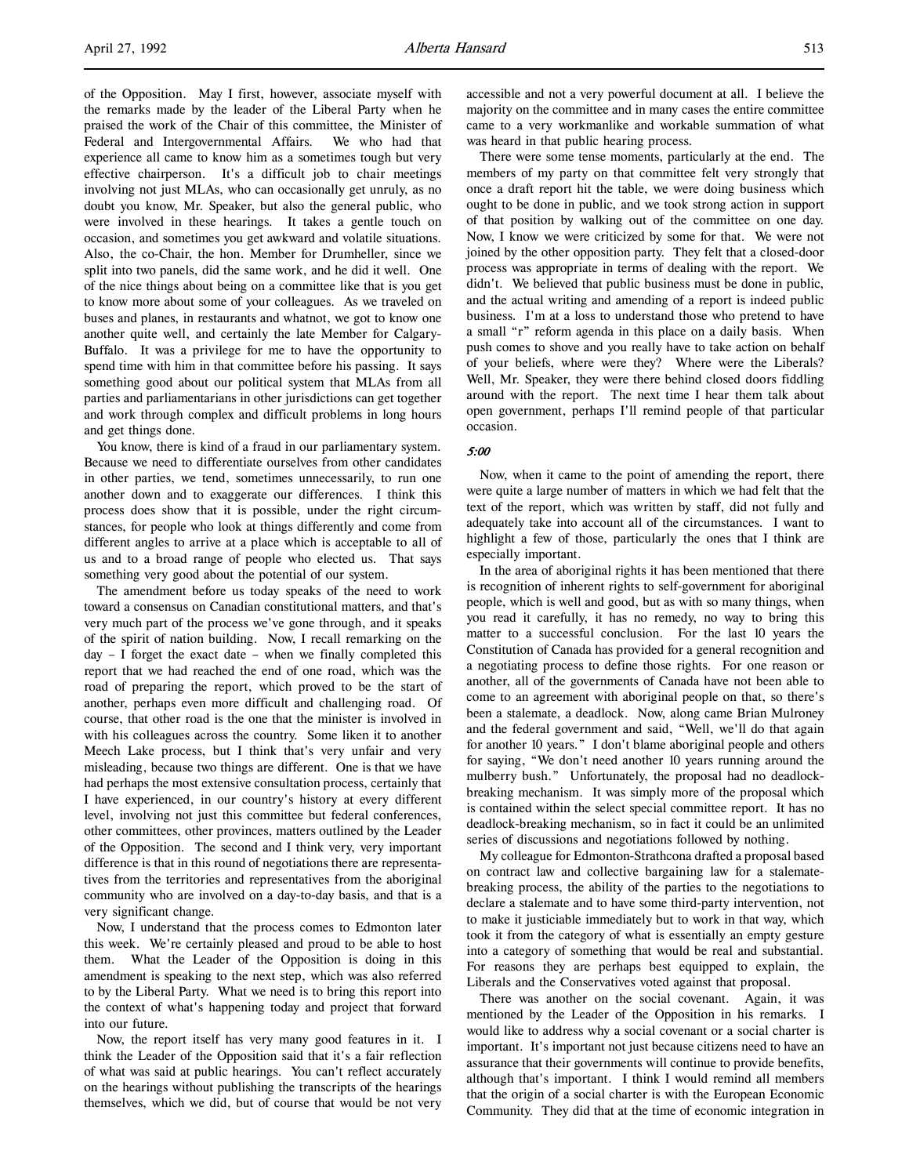of the Opposition. May I first, however, associate myself with the remarks made by the leader of the Liberal Party when he praised the work of the Chair of this committee, the Minister of Federal and Intergovernmental Affairs. We who had that experience all came to know him as a sometimes tough but very effective chairperson. It's a difficult job to chair meetings involving not just MLAs, who can occasionally get unruly, as no doubt you know, Mr. Speaker, but also the general public, who were involved in these hearings. It takes a gentle touch on occasion, and sometimes you get awkward and volatile situations. Also, the co-Chair, the hon. Member for Drumheller, since we split into two panels, did the same work, and he did it well. One of the nice things about being on a committee like that is you get to know more about some of your colleagues. As we traveled on buses and planes, in restaurants and whatnot, we got to know one another quite well, and certainly the late Member for Calgary-Buffalo. It was a privilege for me to have the opportunity to spend time with him in that committee before his passing. It says something good about our political system that MLAs from all parties and parliamentarians in other jurisdictions can get together and work through complex and difficult problems in long hours and get things done.

You know, there is kind of a fraud in our parliamentary system. Because we need to differentiate ourselves from other candidates in other parties, we tend, sometimes unnecessarily, to run one another down and to exaggerate our differences. I think this process does show that it is possible, under the right circumstances, for people who look at things differently and come from different angles to arrive at a place which is acceptable to all of us and to a broad range of people who elected us. That says something very good about the potential of our system.

The amendment before us today speaks of the need to work toward a consensus on Canadian constitutional matters, and that's very much part of the process we've gone through, and it speaks of the spirit of nation building. Now, I recall remarking on the day – I forget the exact date – when we finally completed this report that we had reached the end of one road, which was the road of preparing the report, which proved to be the start of another, perhaps even more difficult and challenging road. Of course, that other road is the one that the minister is involved in with his colleagues across the country. Some liken it to another Meech Lake process, but I think that's very unfair and very misleading, because two things are different. One is that we have had perhaps the most extensive consultation process, certainly that I have experienced, in our country's history at every different level, involving not just this committee but federal conferences, other committees, other provinces, matters outlined by the Leader of the Opposition. The second and I think very, very important difference is that in this round of negotiations there are representatives from the territories and representatives from the aboriginal community who are involved on a day-to-day basis, and that is a very significant change.

Now, I understand that the process comes to Edmonton later this week. We're certainly pleased and proud to be able to host them. What the Leader of the Opposition is doing in this amendment is speaking to the next step, which was also referred to by the Liberal Party. What we need is to bring this report into the context of what's happening today and project that forward into our future.

Now, the report itself has very many good features in it. I think the Leader of the Opposition said that it's a fair reflection of what was said at public hearings. You can't reflect accurately on the hearings without publishing the transcripts of the hearings themselves, which we did, but of course that would be not very

accessible and not a very powerful document at all. I believe the majority on the committee and in many cases the entire committee came to a very workmanlike and workable summation of what was heard in that public hearing process.

There were some tense moments, particularly at the end. The members of my party on that committee felt very strongly that once a draft report hit the table, we were doing business which ought to be done in public, and we took strong action in support of that position by walking out of the committee on one day. Now, I know we were criticized by some for that. We were not joined by the other opposition party. They felt that a closed-door process was appropriate in terms of dealing with the report. We didn't. We believed that public business must be done in public, and the actual writing and amending of a report is indeed public business. I'm at a loss to understand those who pretend to have a small "r" reform agenda in this place on a daily basis. When push comes to shove and you really have to take action on behalf of your beliefs, where were they? Where were the Liberals? Well, Mr. Speaker, they were there behind closed doors fiddling around with the report. The next time I hear them talk about open government, perhaps I'll remind people of that particular occasion.

### 5:00

Now, when it came to the point of amending the report, there were quite a large number of matters in which we had felt that the text of the report, which was written by staff, did not fully and adequately take into account all of the circumstances. I want to highlight a few of those, particularly the ones that I think are especially important.

In the area of aboriginal rights it has been mentioned that there is recognition of inherent rights to self-government for aboriginal people, which is well and good, but as with so many things, when you read it carefully, it has no remedy, no way to bring this matter to a successful conclusion. For the last 10 years the Constitution of Canada has provided for a general recognition and a negotiating process to define those rights. For one reason or another, all of the governments of Canada have not been able to come to an agreement with aboriginal people on that, so there's been a stalemate, a deadlock. Now, along came Brian Mulroney and the federal government and said, "Well, we'll do that again for another 10 years." I don't blame aboriginal people and others for saying, "We don't need another 10 years running around the mulberry bush." Unfortunately, the proposal had no deadlockbreaking mechanism. It was simply more of the proposal which is contained within the select special committee report. It has no deadlock-breaking mechanism, so in fact it could be an unlimited series of discussions and negotiations followed by nothing.

My colleague for Edmonton-Strathcona drafted a proposal based on contract law and collective bargaining law for a stalematebreaking process, the ability of the parties to the negotiations to declare a stalemate and to have some third-party intervention, not to make it justiciable immediately but to work in that way, which took it from the category of what is essentially an empty gesture into a category of something that would be real and substantial. For reasons they are perhaps best equipped to explain, the Liberals and the Conservatives voted against that proposal.

There was another on the social covenant. Again, it was mentioned by the Leader of the Opposition in his remarks. I would like to address why a social covenant or a social charter is important. It's important not just because citizens need to have an assurance that their governments will continue to provide benefits, although that's important. I think I would remind all members that the origin of a social charter is with the European Economic Community. They did that at the time of economic integration in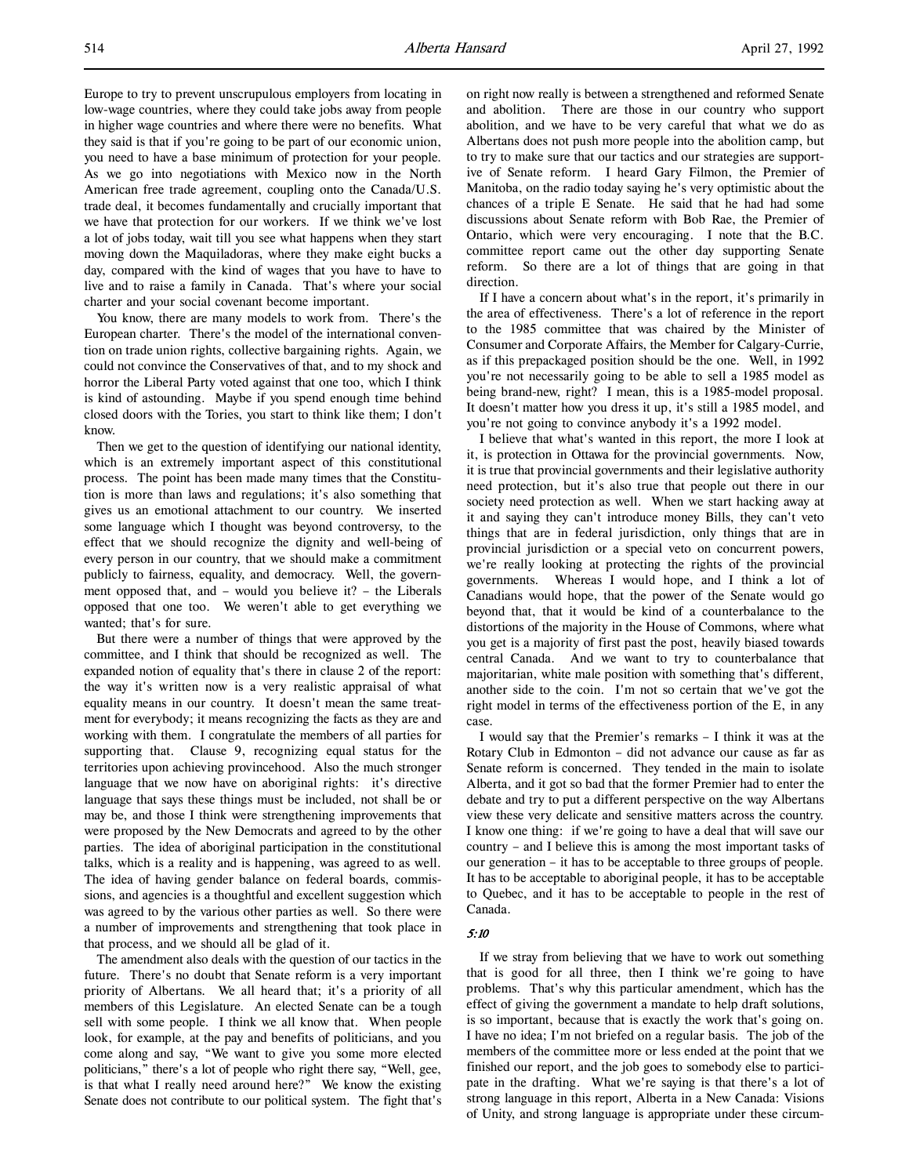Europe to try to prevent unscrupulous employers from locating in low-wage countries, where they could take jobs away from people in higher wage countries and where there were no benefits. What they said is that if you're going to be part of our economic union, you need to have a base minimum of protection for your people. As we go into negotiations with Mexico now in the North American free trade agreement, coupling onto the Canada/U.S. trade deal, it becomes fundamentally and crucially important that we have that protection for our workers. If we think we've lost a lot of jobs today, wait till you see what happens when they start moving down the Maquiladoras, where they make eight bucks a day, compared with the kind of wages that you have to have to live and to raise a family in Canada. That's where your social charter and your social covenant become important.

You know, there are many models to work from. There's the European charter. There's the model of the international convention on trade union rights, collective bargaining rights. Again, we could not convince the Conservatives of that, and to my shock and horror the Liberal Party voted against that one too, which I think is kind of astounding. Maybe if you spend enough time behind closed doors with the Tories, you start to think like them; I don't know.

Then we get to the question of identifying our national identity, which is an extremely important aspect of this constitutional process. The point has been made many times that the Constitution is more than laws and regulations; it's also something that gives us an emotional attachment to our country. We inserted some language which I thought was beyond controversy, to the effect that we should recognize the dignity and well-being of every person in our country, that we should make a commitment publicly to fairness, equality, and democracy. Well, the government opposed that, and – would you believe it? – the Liberals opposed that one too. We weren't able to get everything we wanted; that's for sure.

But there were a number of things that were approved by the committee, and I think that should be recognized as well. The expanded notion of equality that's there in clause 2 of the report: the way it's written now is a very realistic appraisal of what equality means in our country. It doesn't mean the same treatment for everybody; it means recognizing the facts as they are and working with them. I congratulate the members of all parties for supporting that. Clause 9, recognizing equal status for the territories upon achieving provincehood. Also the much stronger language that we now have on aboriginal rights: it's directive language that says these things must be included, not shall be or may be, and those I think were strengthening improvements that were proposed by the New Democrats and agreed to by the other parties. The idea of aboriginal participation in the constitutional talks, which is a reality and is happening, was agreed to as well. The idea of having gender balance on federal boards, commissions, and agencies is a thoughtful and excellent suggestion which was agreed to by the various other parties as well. So there were a number of improvements and strengthening that took place in that process, and we should all be glad of it.

The amendment also deals with the question of our tactics in the future. There's no doubt that Senate reform is a very important priority of Albertans. We all heard that; it's a priority of all members of this Legislature. An elected Senate can be a tough sell with some people. I think we all know that. When people look, for example, at the pay and benefits of politicians, and you come along and say, "We want to give you some more elected politicians," there's a lot of people who right there say, "Well, gee, is that what I really need around here?" We know the existing Senate does not contribute to our political system. The fight that's

on right now really is between a strengthened and reformed Senate and abolition. There are those in our country who support abolition, and we have to be very careful that what we do as Albertans does not push more people into the abolition camp, but to try to make sure that our tactics and our strategies are supportive of Senate reform. I heard Gary Filmon, the Premier of Manitoba, on the radio today saying he's very optimistic about the chances of a triple E Senate. He said that he had had some discussions about Senate reform with Bob Rae, the Premier of Ontario, which were very encouraging. I note that the B.C. committee report came out the other day supporting Senate reform. So there are a lot of things that are going in that direction.

If I have a concern about what's in the report, it's primarily in the area of effectiveness. There's a lot of reference in the report to the 1985 committee that was chaired by the Minister of Consumer and Corporate Affairs, the Member for Calgary-Currie, as if this prepackaged position should be the one. Well, in 1992 you're not necessarily going to be able to sell a 1985 model as being brand-new, right? I mean, this is a 1985-model proposal. It doesn't matter how you dress it up, it's still a 1985 model, and you're not going to convince anybody it's a 1992 model.

I believe that what's wanted in this report, the more I look at it, is protection in Ottawa for the provincial governments. Now, it is true that provincial governments and their legislative authority need protection, but it's also true that people out there in our society need protection as well. When we start hacking away at it and saying they can't introduce money Bills, they can't veto things that are in federal jurisdiction, only things that are in provincial jurisdiction or a special veto on concurrent powers, we're really looking at protecting the rights of the provincial governments. Whereas I would hope, and I think a lot of Canadians would hope, that the power of the Senate would go beyond that, that it would be kind of a counterbalance to the distortions of the majority in the House of Commons, where what you get is a majority of first past the post, heavily biased towards central Canada. And we want to try to counterbalance that majoritarian, white male position with something that's different, another side to the coin. I'm not so certain that we've got the right model in terms of the effectiveness portion of the E, in any case.

I would say that the Premier's remarks – I think it was at the Rotary Club in Edmonton – did not advance our cause as far as Senate reform is concerned. They tended in the main to isolate Alberta, and it got so bad that the former Premier had to enter the debate and try to put a different perspective on the way Albertans view these very delicate and sensitive matters across the country. I know one thing: if we're going to have a deal that will save our country – and I believe this is among the most important tasks of our generation – it has to be acceptable to three groups of people. It has to be acceptable to aboriginal people, it has to be acceptable to Quebec, and it has to be acceptable to people in the rest of Canada.

# 5:10

If we stray from believing that we have to work out something that is good for all three, then I think we're going to have problems. That's why this particular amendment, which has the effect of giving the government a mandate to help draft solutions, is so important, because that is exactly the work that's going on. I have no idea; I'm not briefed on a regular basis. The job of the members of the committee more or less ended at the point that we finished our report, and the job goes to somebody else to participate in the drafting. What we're saying is that there's a lot of strong language in this report, Alberta in a New Canada: Visions of Unity, and strong language is appropriate under these circum-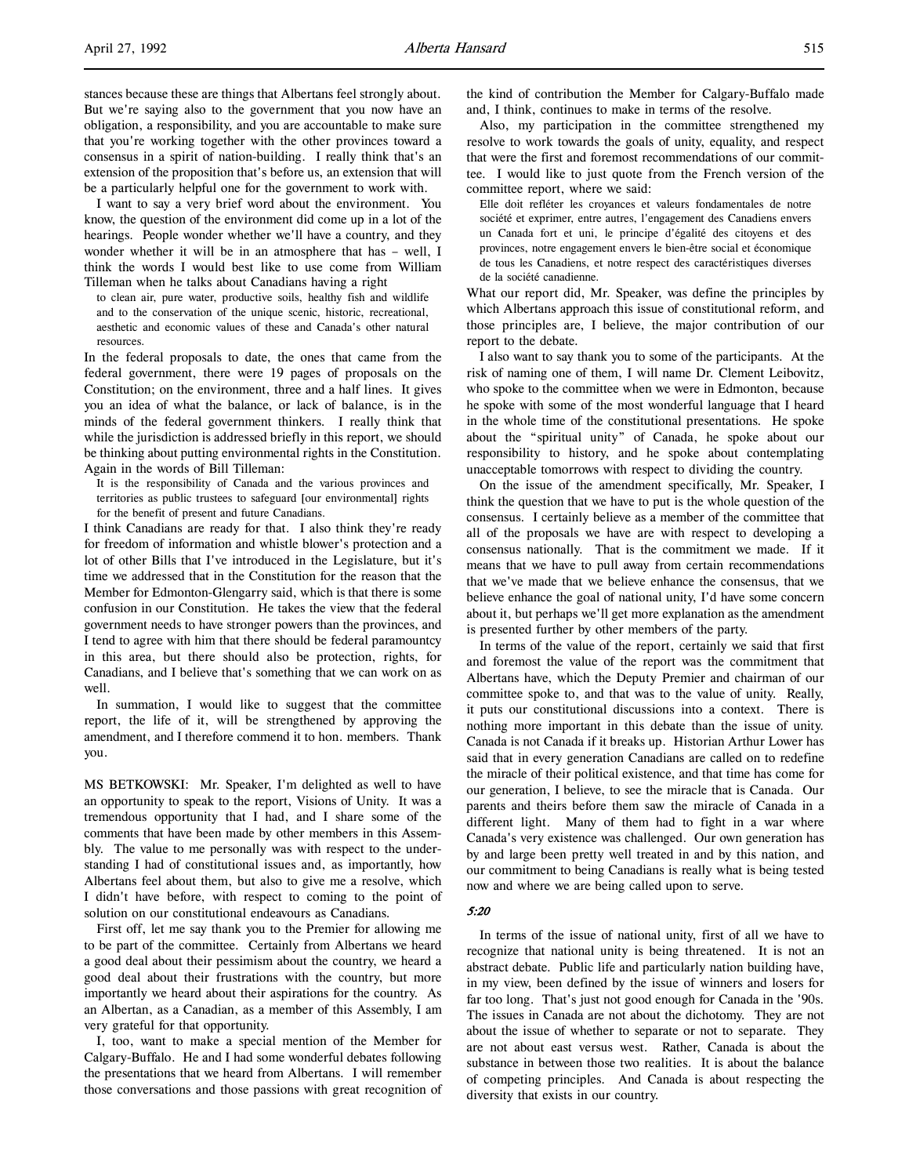stances because these are things that Albertans feel strongly about. But we're saying also to the government that you now have an obligation, a responsibility, and you are accountable to make sure that you're working together with the other provinces toward a consensus in a spirit of nation-building. I really think that's an extension of the proposition that's before us, an extension that will be a particularly helpful one for the government to work with.

I want to say a very brief word about the environment. You know, the question of the environment did come up in a lot of the hearings. People wonder whether we'll have a country, and they wonder whether it will be in an atmosphere that has – well, I think the words I would best like to use come from William Tilleman when he talks about Canadians having a right

to clean air, pure water, productive soils, healthy fish and wildlife and to the conservation of the unique scenic, historic, recreational, aesthetic and economic values of these and Canada's other natural resources.

In the federal proposals to date, the ones that came from the federal government, there were 19 pages of proposals on the Constitution; on the environment, three and a half lines. It gives you an idea of what the balance, or lack of balance, is in the minds of the federal government thinkers. I really think that while the jurisdiction is addressed briefly in this report, we should be thinking about putting environmental rights in the Constitution. Again in the words of Bill Tilleman:

It is the responsibility of Canada and the various provinces and territories as public trustees to safeguard [our environmental] rights for the benefit of present and future Canadians.

I think Canadians are ready for that. I also think they're ready for freedom of information and whistle blower's protection and a lot of other Bills that I've introduced in the Legislature, but it's time we addressed that in the Constitution for the reason that the Member for Edmonton-Glengarry said, which is that there is some confusion in our Constitution. He takes the view that the federal government needs to have stronger powers than the provinces, and I tend to agree with him that there should be federal paramountcy in this area, but there should also be protection, rights, for Canadians, and I believe that's something that we can work on as well.

In summation, I would like to suggest that the committee report, the life of it, will be strengthened by approving the amendment, and I therefore commend it to hon. members. Thank you.

MS BETKOWSKI: Mr. Speaker, I'm delighted as well to have an opportunity to speak to the report, Visions of Unity. It was a tremendous opportunity that I had, and I share some of the comments that have been made by other members in this Assembly. The value to me personally was with respect to the understanding I had of constitutional issues and, as importantly, how Albertans feel about them, but also to give me a resolve, which I didn't have before, with respect to coming to the point of solution on our constitutional endeavours as Canadians.

First off, let me say thank you to the Premier for allowing me to be part of the committee. Certainly from Albertans we heard a good deal about their pessimism about the country, we heard a good deal about their frustrations with the country, but more importantly we heard about their aspirations for the country. As an Albertan, as a Canadian, as a member of this Assembly, I am very grateful for that opportunity.

I, too, want to make a special mention of the Member for Calgary-Buffalo. He and I had some wonderful debates following the presentations that we heard from Albertans. I will remember those conversations and those passions with great recognition of the kind of contribution the Member for Calgary-Buffalo made and, I think, continues to make in terms of the resolve.

Also, my participation in the committee strengthened my resolve to work towards the goals of unity, equality, and respect that were the first and foremost recommendations of our committee. I would like to just quote from the French version of the committee report, where we said:

Elle doit refléter les croyances et valeurs fondamentales de notre société et exprimer, entre autres, l'engagement des Canadiens envers un Canada fort et uni, le principe d'égalité des citoyens et des provinces, notre engagement envers le bien-être social et économique de tous les Canadiens, et notre respect des caractéristiques diverses de la société canadienne.

What our report did, Mr. Speaker, was define the principles by which Albertans approach this issue of constitutional reform, and those principles are, I believe, the major contribution of our report to the debate.

I also want to say thank you to some of the participants. At the risk of naming one of them, I will name Dr. Clement Leibovitz, who spoke to the committee when we were in Edmonton, because he spoke with some of the most wonderful language that I heard in the whole time of the constitutional presentations. He spoke about the "spiritual unity" of Canada, he spoke about our responsibility to history, and he spoke about contemplating unacceptable tomorrows with respect to dividing the country.

On the issue of the amendment specifically, Mr. Speaker, I think the question that we have to put is the whole question of the consensus. I certainly believe as a member of the committee that all of the proposals we have are with respect to developing a consensus nationally. That is the commitment we made. If it means that we have to pull away from certain recommendations that we've made that we believe enhance the consensus, that we believe enhance the goal of national unity, I'd have some concern about it, but perhaps we'll get more explanation as the amendment is presented further by other members of the party.

In terms of the value of the report, certainly we said that first and foremost the value of the report was the commitment that Albertans have, which the Deputy Premier and chairman of our committee spoke to, and that was to the value of unity. Really, it puts our constitutional discussions into a context. There is nothing more important in this debate than the issue of unity. Canada is not Canada if it breaks up. Historian Arthur Lower has said that in every generation Canadians are called on to redefine the miracle of their political existence, and that time has come for our generation, I believe, to see the miracle that is Canada. Our parents and theirs before them saw the miracle of Canada in a different light. Many of them had to fight in a war where Canada's very existence was challenged. Our own generation has by and large been pretty well treated in and by this nation, and our commitment to being Canadians is really what is being tested now and where we are being called upon to serve.

### 5:20

In terms of the issue of national unity, first of all we have to recognize that national unity is being threatened. It is not an abstract debate. Public life and particularly nation building have, in my view, been defined by the issue of winners and losers for far too long. That's just not good enough for Canada in the '90s. The issues in Canada are not about the dichotomy. They are not about the issue of whether to separate or not to separate. They are not about east versus west. Rather, Canada is about the substance in between those two realities. It is about the balance of competing principles. And Canada is about respecting the diversity that exists in our country.